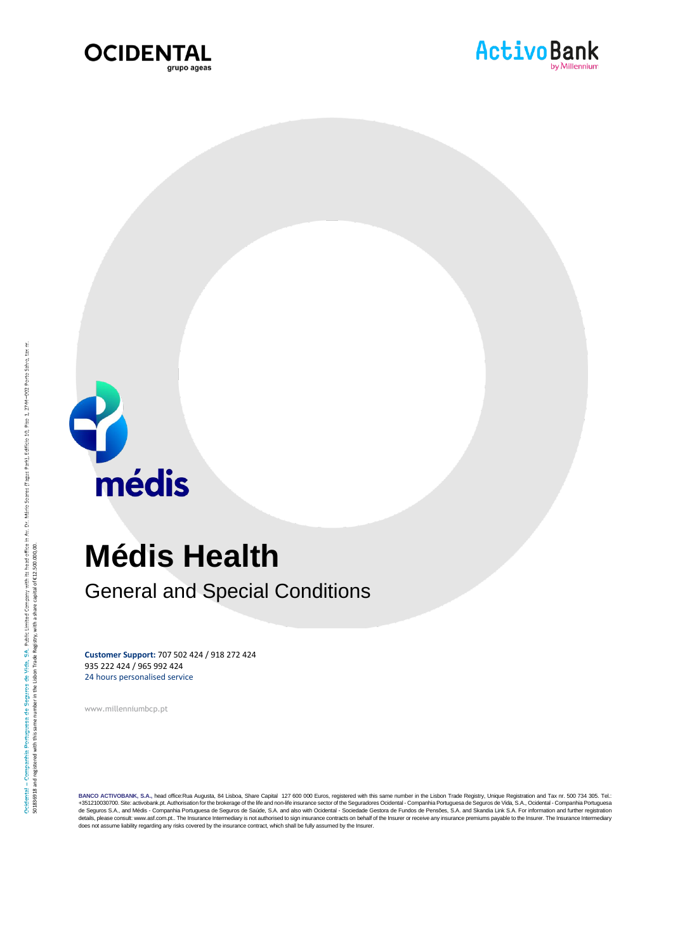





médis

# **Médis Health**

General and Special Conditions

**Customer Support:** 707 502 424 / 918 272 424 935 222 424 / 965 992 424 24 hours personalised service

www.millenniumbcp.pt

BANCO ACTIVOBANK, S.A., head office:Rua Augusta, 84 Lisboa, Share Capital 127 600 000 Euros, registered with this same number in the Lisbon Trade Registry, Unique Registration and Tax nr. 500 sets. Tel.: Tel. The Segura S.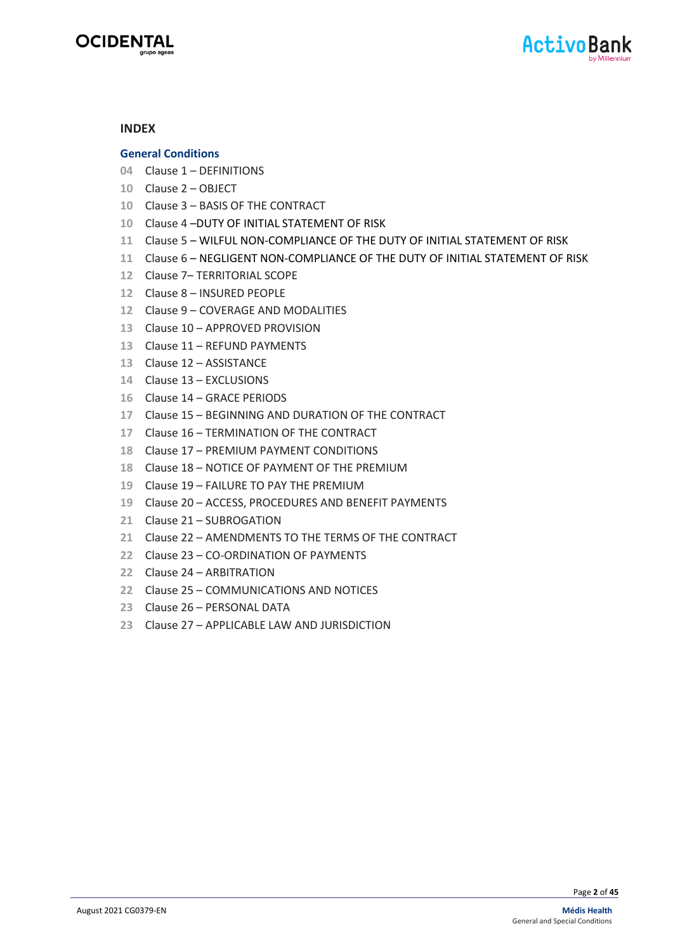



#### **INDEX**

#### **General Conditions**

- Clause 1 DEFINITIONS
- Clause 2 OBJECT
- Clause 3 BASIS OF THE CONTRACT
- Clause 4 –DUTY OF INITIAL STATEMENT OF RISK
- Clause 5 WILFUL NON-COMPLIANCE OF THE DUTY OF INITIAL STATEMENT OF RISK
- Clause 6 NEGLIGENT NON-COMPLIANCE OF THE DUTY OF INITIAL STATEMENT OF RISK
- Clause 7– TERRITORIAL SCOPE
- Clause 8 INSURED PEOPLE
- Clause 9 COVERAGE AND MODALITIES
- Clause 10 APPROVED PROVISION
- Clause 11 REFUND PAYMENTS
- Clause 12 ASSISTANCE
- Clause 13 EXCLUSIONS
- Clause 14 GRACE PERIODS
- Clause 15 BEGINNING AND DURATION OF THE CONTRACT
- Clause 16 TERMINATION OF THE CONTRACT
- Clause 17 PREMIUM PAYMENT CONDITIONS
- Clause 18 NOTICE OF PAYMENT OF THE PREMIUM
- Clause 19 FAILURE TO PAY THE PREMIUM
- Clause 20 ACCESS, PROCEDURES AND BENEFIT PAYMENTS
- Clause 21 SUBROGATION
- Clause 22 AMENDMENTS TO THE TERMS OF THE CONTRACT
- Clause 23 CO-ORDINATION OF PAYMENTS
- Clause 24 ARBITRATION
- Clause 25 COMMUNICATIONS AND NOTICES
- Clause 26 PERSONAL DATA
- Clause 27 APPLICABLE LAW AND JURISDICTION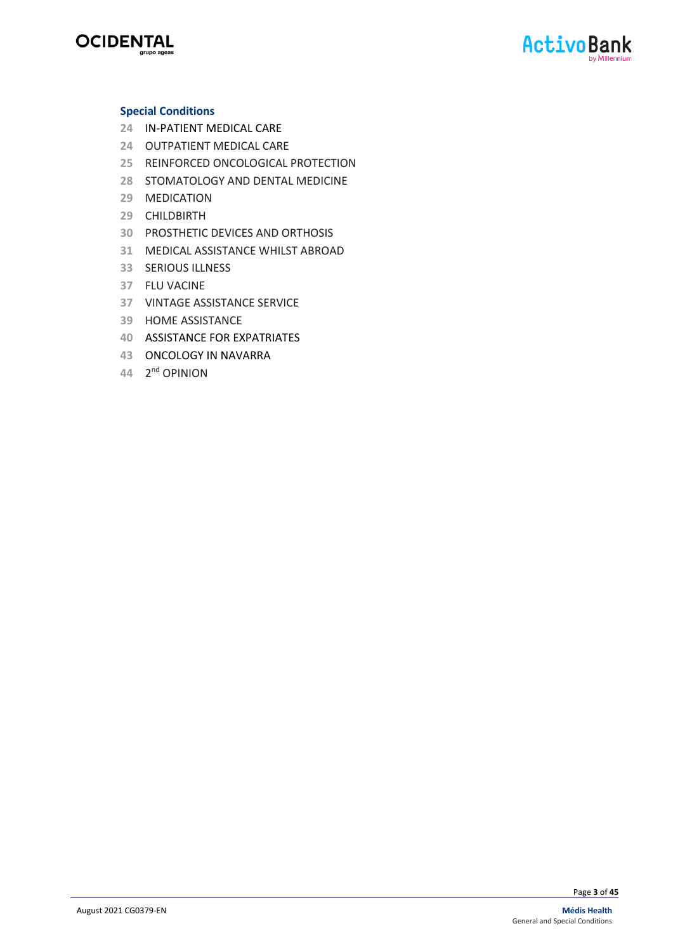



#### **Special Conditions**

- IN-PATIENT MEDICAL CARE
- OUTPATIENT MEDICAL CARE
- REINFORCED ONCOLOGICAL PROTECTION
- STOMATOLOGY AND DENTAL MEDICINE
- MEDICATION
- CHILDBIRTH
- PROSTHETIC DEVICES AND ORTHOSIS
- MEDICAL ASSISTANCE WHILST ABROAD
- SERIOUS ILLNESS
- FLU VACINE
- VINTAGE ASSISTANCE SERVICE
- HOME ASSISTANCE
- ASSISTANCE FOR EXPATRIATES
- ONCOLOGY IN NAVARRA
- 2 nd OPINION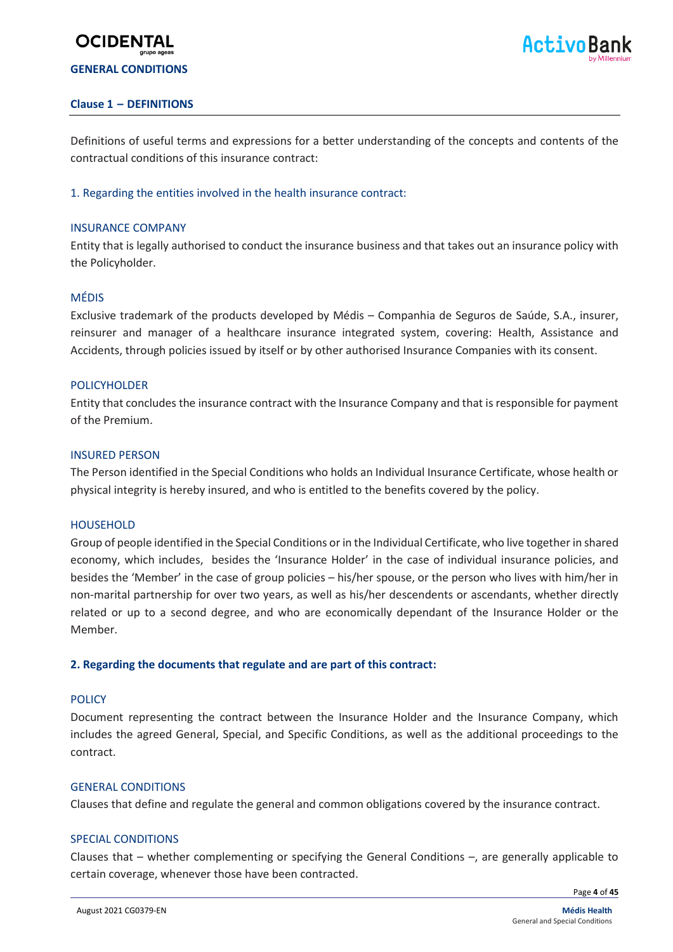# **GENERAL CONDITIONS**

**OCIDENT** 

#### **Clause 1 – DEFINITIONS**

Definitions of useful terms and expressions for a better understanding of the concepts and contents of the contractual conditions of this insurance contract:

#### 1. Regarding the entities involved in the health insurance contract:

#### INSURANCE COMPANY

Entity that is legally authorised to conduct the insurance business and that takes out an insurance policy with the Policyholder.

#### MÉDIS

Exclusive trademark of the products developed by Médis – Companhia de Seguros de Saúde, S.A., insurer, reinsurer and manager of a healthcare insurance integrated system, covering: Health, Assistance and Accidents, through policies issued by itself or by other authorised Insurance Companies with its consent.

#### **POLICYHOLDER**

Entity that concludes the insurance contract with the Insurance Company and that is responsible for payment of the Premium.

#### INSURED PERSON

The Person identified in the Special Conditions who holds an Individual Insurance Certificate, whose health or physical integrity is hereby insured, and who is entitled to the benefits covered by the policy.

#### **HOUSEHOLD**

Group of people identified in the Special Conditions or in the Individual Certificate, who live together in shared economy, which includes, besides the 'Insurance Holder' in the case of individual insurance policies, and besides the 'Member' in the case of group policies – his/her spouse, or the person who lives with him/her in non-marital partnership for over two years, as well as his/her descendents or ascendants, whether directly related or up to a second degree, and who are economically dependant of the Insurance Holder or the Member.

#### **2. Regarding the documents that regulate and are part of this contract:**

#### **POLICY**

Document representing the contract between the Insurance Holder and the Insurance Company, which includes the agreed General, Special, and Specific Conditions, as well as the additional proceedings to the contract.

#### GENERAL CONDITIONS

Clauses that define and regulate the general and common obligations covered by the insurance contract.

#### SPECIAL CONDITIONS

Clauses that – whether complementing or specifying the General Conditions –, are generally applicable to certain coverage, whenever those have been contracted.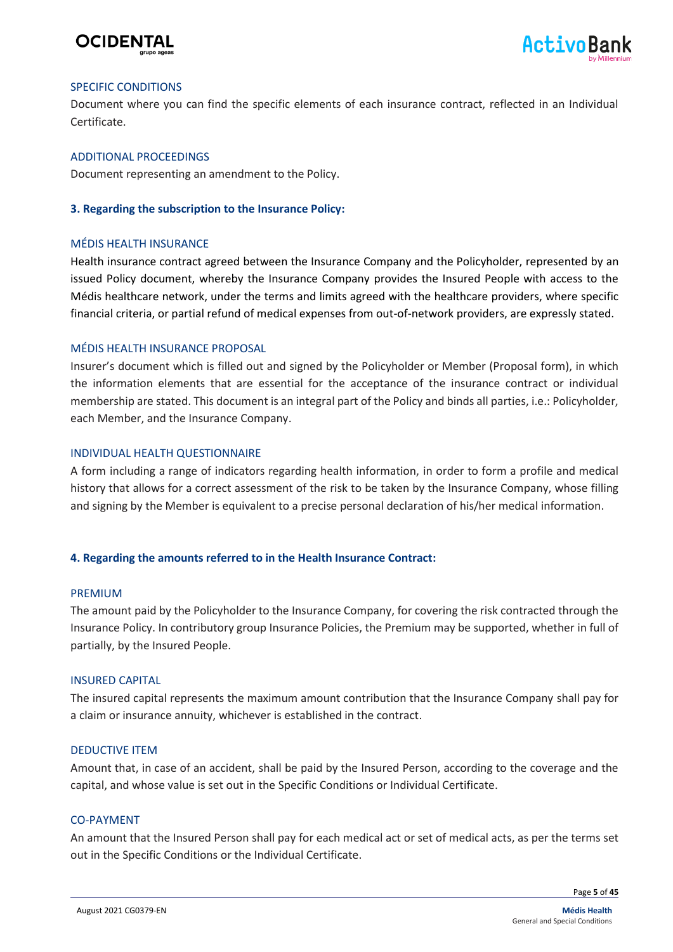



#### SPECIFIC CONDITIONS

Document where you can find the specific elements of each insurance contract, reflected in an Individual Certificate.

#### ADDITIONAL PROCEEDINGS

Document representing an amendment to the Policy.

#### **3. Regarding the subscription to the Insurance Policy:**

#### MÉDIS HEALTH INSURANCE

Health insurance contract agreed between the Insurance Company and the Policyholder, represented by an issued Policy document, whereby the Insurance Company provides the Insured People with access to the Médis healthcare network, under the terms and limits agreed with the healthcare providers, where specific financial criteria, or partial refund of medical expenses from out-of-network providers, are expressly stated.

#### MÉDIS HEALTH INSURANCE PROPOSAL

Insurer's document which is filled out and signed by the Policyholder or Member (Proposal form), in which the information elements that are essential for the acceptance of the insurance contract or individual membership are stated. This document is an integral part of the Policy and binds all parties, i.e.: Policyholder, each Member, and the Insurance Company.

#### INDIVIDUAL HEALTH QUESTIONNAIRE

A form including a range of indicators regarding health information, in order to form a profile and medical history that allows for a correct assessment of the risk to be taken by the Insurance Company, whose filling and signing by the Member is equivalent to a precise personal declaration of his/her medical information.

#### **4. Regarding the amounts referred to in the Health Insurance Contract:**

#### PREMIUM

The amount paid by the Policyholder to the Insurance Company, for covering the risk contracted through the Insurance Policy. In contributory group Insurance Policies, the Premium may be supported, whether in full of partially, by the Insured People.

#### INSURED CAPITAL

The insured capital represents the maximum amount contribution that the Insurance Company shall pay for a claim or insurance annuity, whichever is established in the contract.

#### DEDUCTIVE ITEM

Amount that, in case of an accident, shall be paid by the Insured Person, according to the coverage and the capital, and whose value is set out in the Specific Conditions or Individual Certificate.

#### CO-PAYMENT

An amount that the Insured Person shall pay for each medical act or set of medical acts, as per the terms set out in the Specific Conditions or the Individual Certificate.

Page **5** of **45**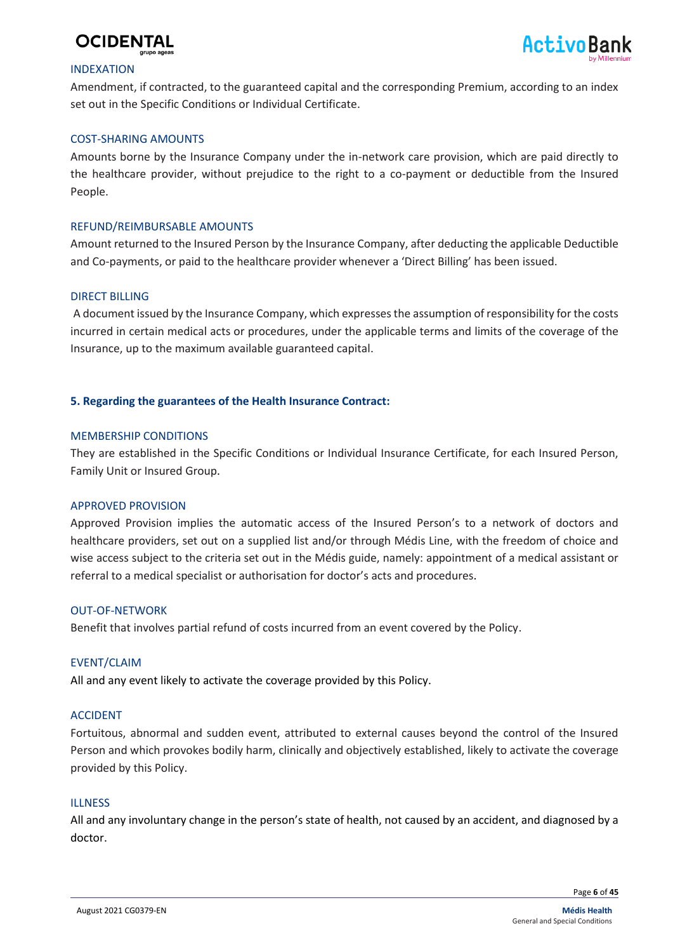



#### INDEXATION

Amendment, if contracted, to the guaranteed capital and the corresponding Premium, according to an index set out in the Specific Conditions or Individual Certificate.

#### COST-SHARING AMOUNTS

Amounts borne by the Insurance Company under the in-network care provision, which are paid directly to the healthcare provider, without prejudice to the right to a co-payment or deductible from the Insured People.

#### REFUND/REIMBURSABLE AMOUNTS

Amount returned to the Insured Person by the Insurance Company, after deducting the applicable Deductible and Co-payments, or paid to the healthcare provider whenever a 'Direct Billing' has been issued.

#### DIRECT BILLING

A document issued by the Insurance Company, which expresses the assumption of responsibility for the costs incurred in certain medical acts or procedures, under the applicable terms and limits of the coverage of the Insurance, up to the maximum available guaranteed capital.

#### **5. Regarding the guarantees of the Health Insurance Contract:**

#### MEMBERSHIP CONDITIONS

They are established in the Specific Conditions or Individual Insurance Certificate, for each Insured Person, Family Unit or Insured Group.

#### APPROVED PROVISION

Approved Provision implies the automatic access of the Insured Person's to a network of doctors and healthcare providers, set out on a supplied list and/or through Médis Line, with the freedom of choice and wise access subject to the criteria set out in the Médis guide, namely: appointment of a medical assistant or referral to a medical specialist or authorisation for doctor's acts and procedures.

#### OUT-OF-NETWORK

Benefit that involves partial refund of costs incurred from an event covered by the Policy.

#### EVENT/CLAIM

All and any event likely to activate the coverage provided by this Policy.

#### ACCIDENT

Fortuitous, abnormal and sudden event, attributed to external causes beyond the control of the Insured Person and which provokes bodily harm, clinically and objectively established, likely to activate the coverage provided by this Policy.

#### **ILLNESS**

All and any involuntary change in the person's state of health, not caused by an accident, and diagnosed by a doctor.

Page **6** of **45**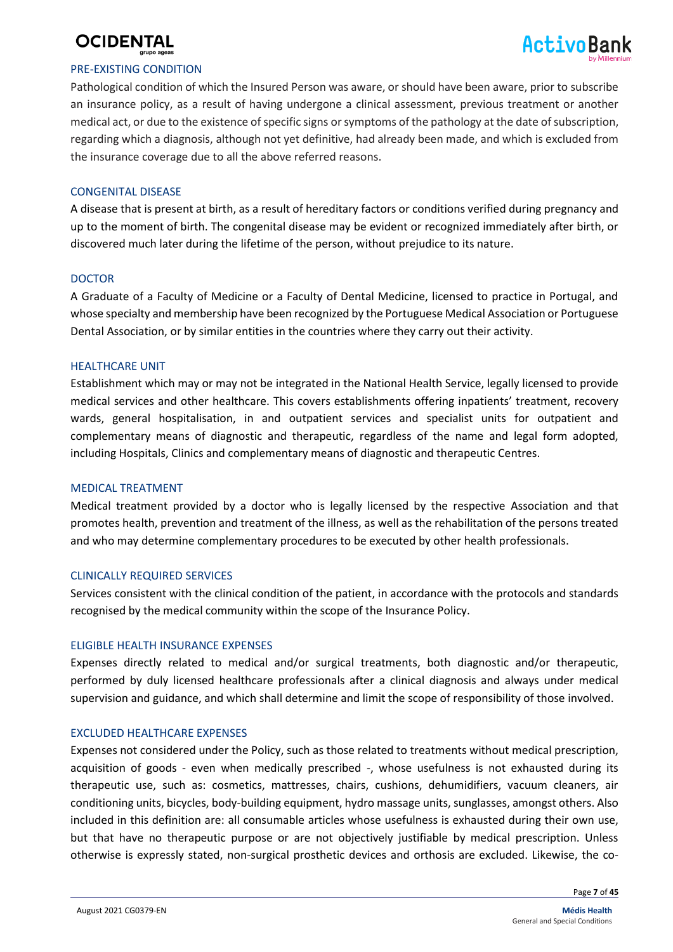

#### PRE-EXISTING CONDITION

Pathological condition of which the Insured Person was aware, or should have been aware, prior to subscribe an insurance policy, as a result of having undergone a clinical assessment, previous treatment or another medical act, or due to the existence of specific signs or symptoms of the pathology at the date of subscription, regarding which a diagnosis, although not yet definitive, had already been made, and which is excluded from the insurance coverage due to all the above referred reasons.

#### CONGENITAL DISEASE

A disease that is present at birth, as a result of hereditary factors or conditions verified during pregnancy and up to the moment of birth. The congenital disease may be evident or recognized immediately after birth, or discovered much later during the lifetime of the person, without prejudice to its nature.

#### **DOCTOR**

A Graduate of a Faculty of Medicine or a Faculty of Dental Medicine, licensed to practice in Portugal, and whose specialty and membership have been recognized by the Portuguese Medical Association or Portuguese Dental Association, or by similar entities in the countries where they carry out their activity.

#### HEALTHCARE UNIT

Establishment which may or may not be integrated in the National Health Service, legally licensed to provide medical services and other healthcare. This covers establishments offering inpatients' treatment, recovery wards, general hospitalisation, in and outpatient services and specialist units for outpatient and complementary means of diagnostic and therapeutic, regardless of the name and legal form adopted, including Hospitals, Clinics and complementary means of diagnostic and therapeutic Centres.

#### MEDICAL TREATMENT

Medical treatment provided by a doctor who is legally licensed by the respective Association and that promotes health, prevention and treatment of the illness, as well as the rehabilitation of the persons treated and who may determine complementary procedures to be executed by other health professionals.

#### CLINICALLY REQUIRED SERVICES

Services consistent with the clinical condition of the patient, in accordance with the protocols and standards recognised by the medical community within the scope of the Insurance Policy.

#### ELIGIBLE HEALTH INSURANCE EXPENSES

Expenses directly related to medical and/or surgical treatments, both diagnostic and/or therapeutic, performed by duly licensed healthcare professionals after a clinical diagnosis and always under medical supervision and guidance, and which shall determine and limit the scope of responsibility of those involved.

#### EXCLUDED HEALTHCARE EXPENSES

Expenses not considered under the Policy, such as those related to treatments without medical prescription, acquisition of goods - even when medically prescribed -, whose usefulness is not exhausted during its therapeutic use, such as: cosmetics, mattresses, chairs, cushions, dehumidifiers, vacuum cleaners, air conditioning units, bicycles, body-building equipment, hydro massage units, sunglasses, amongst others. Also included in this definition are: all consumable articles whose usefulness is exhausted during their own use, but that have no therapeutic purpose or are not objectively justifiable by medical prescription. Unless otherwise is expressly stated, non-surgical prosthetic devices and orthosis are excluded. Likewise, the co-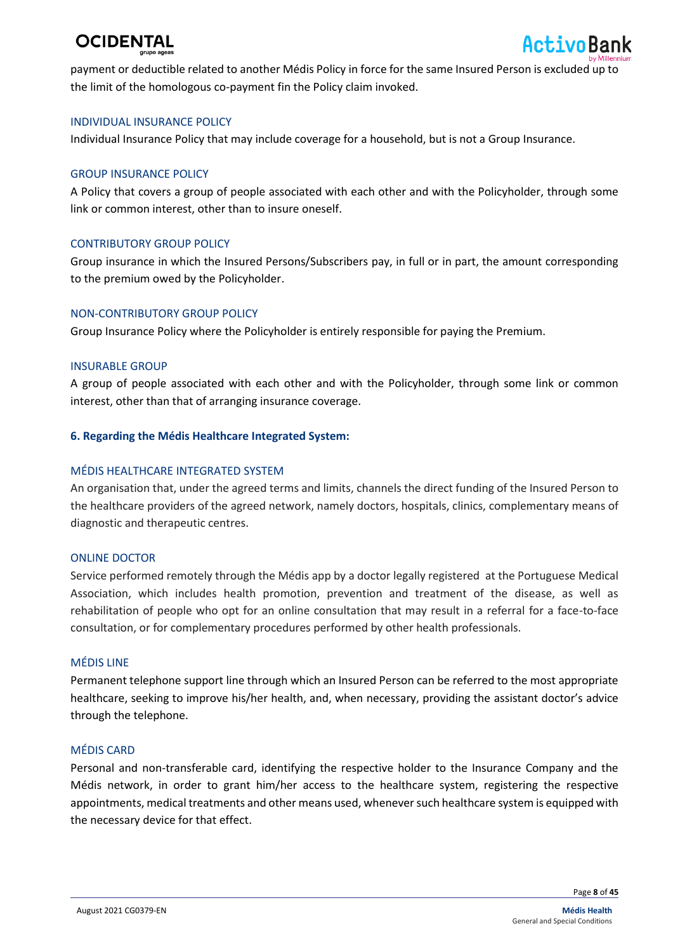

payment or deductible related to another Médis Policy in force for the same Insured Person is excluded up to the limit of the homologous co-payment fin the Policy claim invoked.

#### INDIVIDUAL INSURANCE POLICY

Individual Insurance Policy that may include coverage for a household, but is not a Group Insurance.

#### GROUP INSURANCE POLICY

A Policy that covers a group of people associated with each other and with the Policyholder, through some link or common interest, other than to insure oneself.

#### CONTRIBUTORY GROUP POLICY

Group insurance in which the Insured Persons/Subscribers pay, in full or in part, the amount corresponding to the premium owed by the Policyholder.

#### NON-CONTRIBUTORY GROUP POLICY

Group Insurance Policy where the Policyholder is entirely responsible for paying the Premium.

#### INSURABLE GROUP

A group of people associated with each other and with the Policyholder, through some link or common interest, other than that of arranging insurance coverage.

#### **6. Regarding the Médis Healthcare Integrated System:**

#### MÉDIS HEALTHCARE INTEGRATED SYSTEM

An organisation that, under the agreed terms and limits, channels the direct funding of the Insured Person to the healthcare providers of the agreed network, namely doctors, hospitals, clinics, complementary means of diagnostic and therapeutic centres.

#### ONLINE DOCTOR

Service performed remotely through the Médis app by a doctor legally registered at the Portuguese Medical Association, which includes health promotion, prevention and treatment of the disease, as well as rehabilitation of people who opt for an online consultation that may result in a referral for a face-to-face consultation, or for complementary procedures performed by other health professionals.

#### MÉDIS LINE

Permanent telephone support line through which an Insured Person can be referred to the most appropriate healthcare, seeking to improve his/her health, and, when necessary, providing the assistant doctor's advice through the telephone.

#### MÉDIS CARD

Personal and non-transferable card, identifying the respective holder to the Insurance Company and the Médis network, in order to grant him/her access to the healthcare system, registering the respective appointments, medical treatments and other means used, wheneversuch healthcare system is equipped with the necessary device for that effect.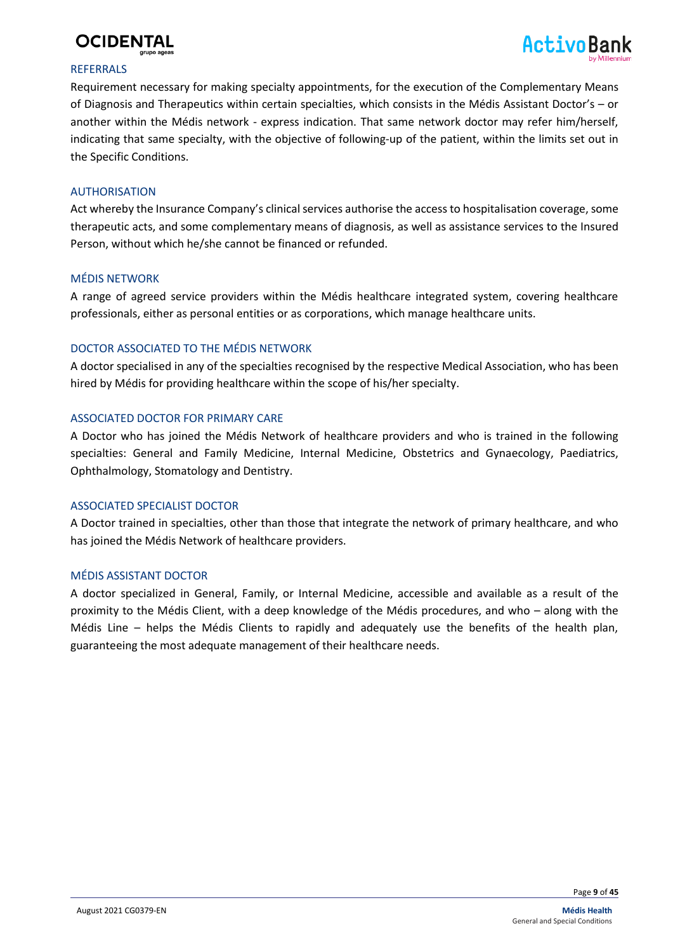



#### **REFERRALS**

Requirement necessary for making specialty appointments, for the execution of the Complementary Means of Diagnosis and Therapeutics within certain specialties, which consists in the Médis Assistant Doctor's – or another within the Médis network - express indication. That same network doctor may refer him/herself, indicating that same specialty, with the objective of following-up of the patient, within the limits set out in the Specific Conditions.

#### AUTHORISATION

Act whereby the Insurance Company's clinical services authorise the access to hospitalisation coverage, some therapeutic acts, and some complementary means of diagnosis, as well as assistance services to the Insured Person, without which he/she cannot be financed or refunded.

#### MÉDIS NETWORK

A range of agreed service providers within the Médis healthcare integrated system, covering healthcare professionals, either as personal entities or as corporations, which manage healthcare units.

#### DOCTOR ASSOCIATED TO THE MÉDIS NETWORK

A doctor specialised in any of the specialties recognised by the respective Medical Association, who has been hired by Médis for providing healthcare within the scope of his/her specialty.

#### ASSOCIATED DOCTOR FOR PRIMARY CARE

A Doctor who has joined the Médis Network of healthcare providers and who is trained in the following specialties: General and Family Medicine, Internal Medicine, Obstetrics and Gynaecology, Paediatrics, Ophthalmology, Stomatology and Dentistry.

#### ASSOCIATED SPECIALIST DOCTOR

A Doctor trained in specialties, other than those that integrate the network of primary healthcare, and who has joined the Médis Network of healthcare providers.

#### MÉDIS ASSISTANT DOCTOR

A doctor specialized in General, Family, or Internal Medicine, accessible and available as a result of the proximity to the Médis Client, with a deep knowledge of the Médis procedures, and who – along with the Médis Line – helps the Médis Clients to rapidly and adequately use the benefits of the health plan, guaranteeing the most adequate management of their healthcare needs.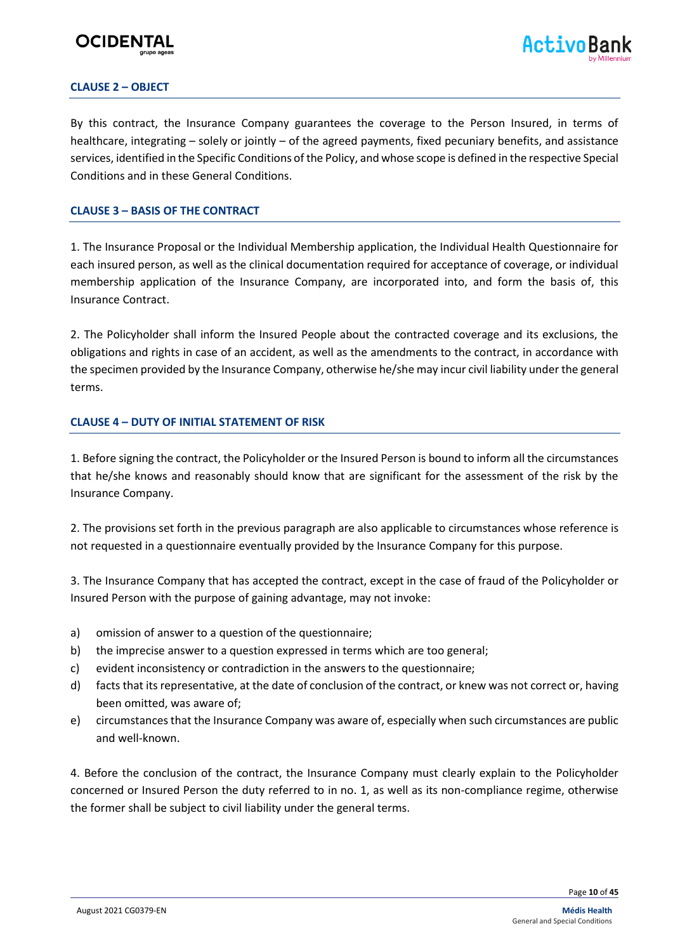

#### **CLAUSE 2 – OBJECT**

By this contract, the Insurance Company guarantees the coverage to the Person Insured, in terms of healthcare, integrating – solely or jointly – of the agreed payments, fixed pecuniary benefits, and assistance services, identified in the Specific Conditions of the Policy, and whose scope is defined in the respective Special Conditions and in these General Conditions.

#### **CLAUSE 3 – BASIS OF THE CONTRACT**

1. The Insurance Proposal or the Individual Membership application, the Individual Health Questionnaire for each insured person, as well as the clinical documentation required for acceptance of coverage, or individual membership application of the Insurance Company, are incorporated into, and form the basis of, this Insurance Contract.

2. The Policyholder shall inform the Insured People about the contracted coverage and its exclusions, the obligations and rights in case of an accident, as well as the amendments to the contract, in accordance with the specimen provided by the Insurance Company, otherwise he/she may incur civil liability under the general terms.

#### **CLAUSE 4 – DUTY OF INITIAL STATEMENT OF RISK**

1. Before signing the contract, the Policyholder or the Insured Person is bound to inform all the circumstances that he/she knows and reasonably should know that are significant for the assessment of the risk by the Insurance Company.

2. The provisions set forth in the previous paragraph are also applicable to circumstances whose reference is not requested in a questionnaire eventually provided by the Insurance Company for this purpose.

3. The Insurance Company that has accepted the contract, except in the case of fraud of the Policyholder or Insured Person with the purpose of gaining advantage, may not invoke:

- a) omission of answer to a question of the questionnaire;
- b) the imprecise answer to a question expressed in terms which are too general;
- c) evident inconsistency or contradiction in the answers to the questionnaire;
- d) facts that its representative, at the date of conclusion of the contract, or knew was not correct or, having been omitted, was aware of;
- e) circumstances that the Insurance Company was aware of, especially when such circumstances are public and well-known.

4. Before the conclusion of the contract, the Insurance Company must clearly explain to the Policyholder concerned or Insured Person the duty referred to in no. 1, as well as its non-compliance regime, otherwise the former shall be subject to civil liability under the general terms.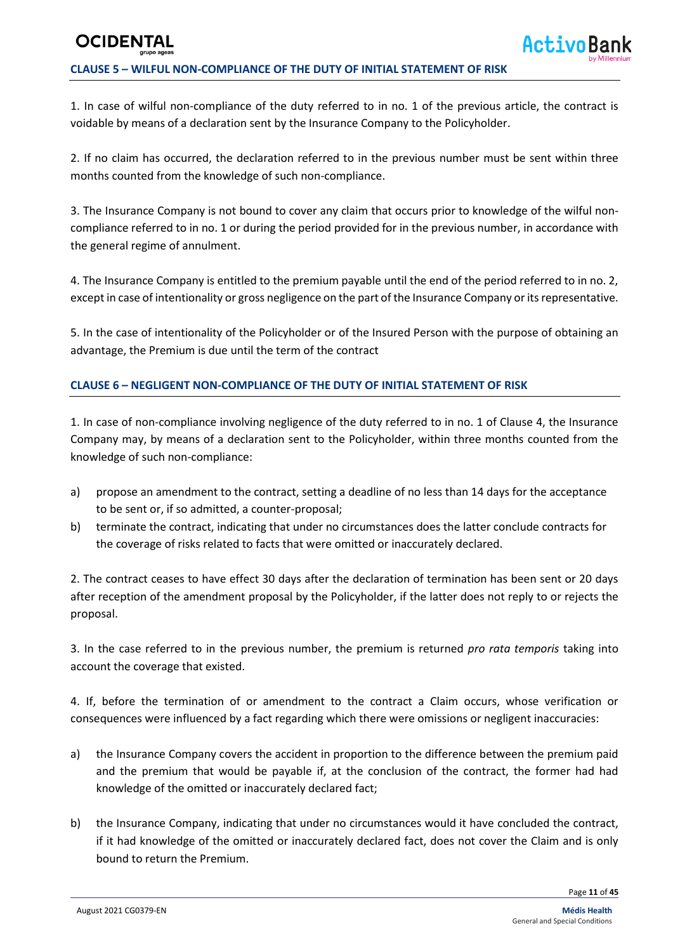### **OCIDENT CLAUSE 5 – WILFUL NON-COMPLIANCE OF THE DUTY OF INITIAL STATEMENT OF RISK**

1. In case of wilful non-compliance of the duty referred to in no. 1 of the previous article, the contract is voidable by means of a declaration sent by the Insurance Company to the Policyholder.

2. If no claim has occurred, the declaration referred to in the previous number must be sent within three months counted from the knowledge of such non-compliance.

3. The Insurance Company is not bound to cover any claim that occurs prior to knowledge of the wilful noncompliance referred to in no. 1 or during the period provided for in the previous number, in accordance with the general regime of annulment.

4. The Insurance Company is entitled to the premium payable until the end of the period referred to in no. 2, except in case of intentionality or gross negligence on the part of the Insurance Company or its representative.

5. In the case of intentionality of the Policyholder or of the Insured Person with the purpose of obtaining an advantage, the Premium is due until the term of the contract

#### **CLAUSE 6 – NEGLIGENT NON-COMPLIANCE OF THE DUTY OF INITIAL STATEMENT OF RISK**

1. In case of non-compliance involving negligence of the duty referred to in no. 1 of Clause 4, the Insurance Company may, by means of a declaration sent to the Policyholder, within three months counted from the knowledge of such non-compliance:

- a) propose an amendment to the contract, setting a deadline of no less than 14 days for the acceptance to be sent or, if so admitted, a counter-proposal;
- b) terminate the contract, indicating that under no circumstances does the latter conclude contracts for the coverage of risks related to facts that were omitted or inaccurately declared.

2. The contract ceases to have effect 30 days after the declaration of termination has been sent or 20 days after reception of the amendment proposal by the Policyholder, if the latter does not reply to or rejects the proposal.

3. In the case referred to in the previous number, the premium is returned *pro rata temporis* taking into account the coverage that existed.

4. If, before the termination of or amendment to the contract a Claim occurs, whose verification or consequences were influenced by a fact regarding which there were omissions or negligent inaccuracies:

- a) the Insurance Company covers the accident in proportion to the difference between the premium paid and the premium that would be payable if, at the conclusion of the contract, the former had had knowledge of the omitted or inaccurately declared fact;
- b) the Insurance Company, indicating that under no circumstances would it have concluded the contract, if it had knowledge of the omitted or inaccurately declared fact, does not cover the Claim and is only bound to return the Premium.

Page **11** of **45**

**ActivoBa**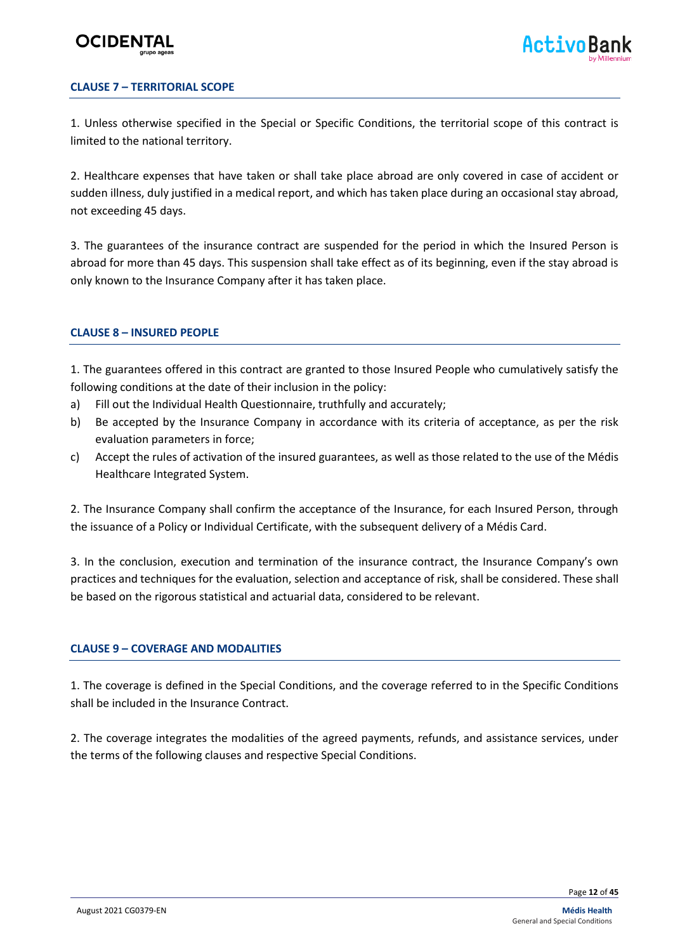#### **CLAUSE 7 – TERRITORIAL SCOPE**

1. Unless otherwise specified in the Special or Specific Conditions, the territorial scope of this contract is limited to the national territory.

2. Healthcare expenses that have taken or shall take place abroad are only covered in case of accident or sudden illness, duly justified in a medical report, and which has taken place during an occasional stay abroad, not exceeding 45 days.

3. The guarantees of the insurance contract are suspended for the period in which the Insured Person is abroad for more than 45 days. This suspension shall take effect as of its beginning, even if the stay abroad is only known to the Insurance Company after it has taken place.

#### **CLAUSE 8 – INSURED PEOPLE**

1. The guarantees offered in this contract are granted to those Insured People who cumulatively satisfy the following conditions at the date of their inclusion in the policy:

- a) Fill out the Individual Health Questionnaire, truthfully and accurately;
- b) Be accepted by the Insurance Company in accordance with its criteria of acceptance, as per the risk evaluation parameters in force;
- c) Accept the rules of activation of the insured guarantees, as well as those related to the use of the Médis Healthcare Integrated System.

2. The Insurance Company shall confirm the acceptance of the Insurance, for each Insured Person, through the issuance of a Policy or Individual Certificate, with the subsequent delivery of a Médis Card.

3. In the conclusion, execution and termination of the insurance contract, the Insurance Company's own practices and techniques for the evaluation, selection and acceptance of risk, shall be considered. These shall be based on the rigorous statistical and actuarial data, considered to be relevant.

#### **CLAUSE 9 – COVERAGE AND MODALITIES**

1. The coverage is defined in the Special Conditions, and the coverage referred to in the Specific Conditions shall be included in the Insurance Contract.

2. The coverage integrates the modalities of the agreed payments, refunds, and assistance services, under the terms of the following clauses and respective Special Conditions.

Page **12** of **45**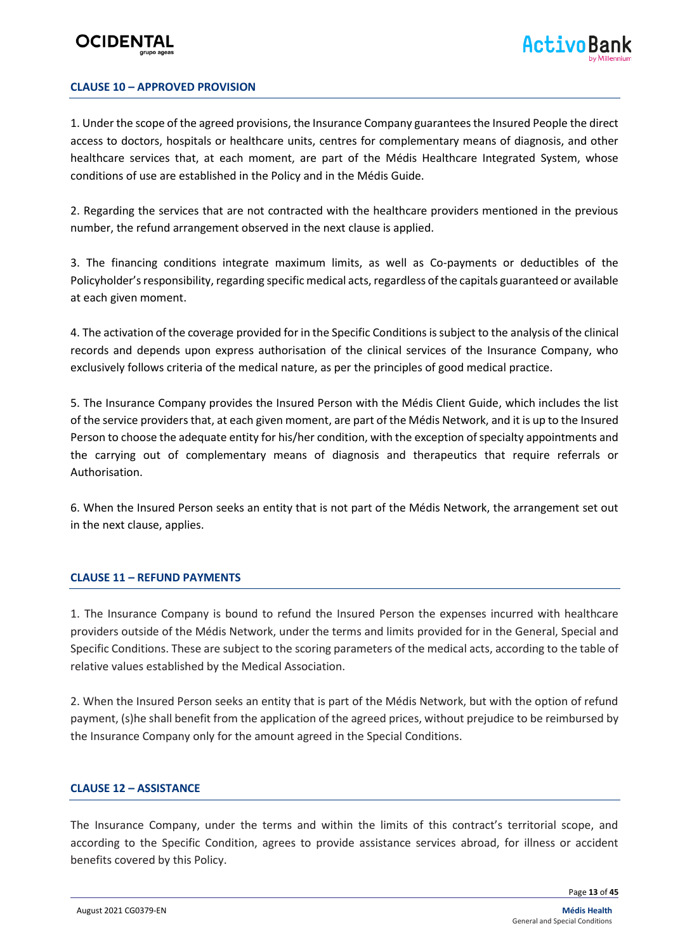#### **CLAUSE 10 – APPROVED PROVISION**

1. Under the scope of the agreed provisions, the Insurance Company guarantees the Insured People the direct access to doctors, hospitals or healthcare units, centres for complementary means of diagnosis, and other healthcare services that, at each moment, are part of the Médis Healthcare Integrated System, whose conditions of use are established in the Policy and in the Médis Guide.

2. Regarding the services that are not contracted with the healthcare providers mentioned in the previous number, the refund arrangement observed in the next clause is applied.

3. The financing conditions integrate maximum limits, as well as Co-payments or deductibles of the Policyholder's responsibility, regarding specific medical acts, regardless of the capitals guaranteed or available at each given moment.

4. The activation of the coverage provided for in the Specific Conditions is subject to the analysis of the clinical records and depends upon express authorisation of the clinical services of the Insurance Company, who exclusively follows criteria of the medical nature, as per the principles of good medical practice.

5. The Insurance Company provides the Insured Person with the Médis Client Guide, which includes the list of the service providers that, at each given moment, are part of the Médis Network, and it is up to the Insured Person to choose the adequate entity for his/her condition, with the exception of specialty appointments and the carrying out of complementary means of diagnosis and therapeutics that require referrals or Authorisation.

6. When the Insured Person seeks an entity that is not part of the Médis Network, the arrangement set out in the next clause, applies.

#### **CLAUSE 11 – REFUND PAYMENTS**

1. The Insurance Company is bound to refund the Insured Person the expenses incurred with healthcare providers outside of the Médis Network, under the terms and limits provided for in the General, Special and Specific Conditions. These are subject to the scoring parameters of the medical acts, according to the table of relative values established by the Medical Association.

2. When the Insured Person seeks an entity that is part of the Médis Network, but with the option of refund payment, (s)he shall benefit from the application of the agreed prices, without prejudice to be reimbursed by the Insurance Company only for the amount agreed in the Special Conditions.

#### **CLAUSE 12 – ASSISTANCE**

The Insurance Company, under the terms and within the limits of this contract's territorial scope, and according to the Specific Condition, agrees to provide assistance services abroad, for illness or accident benefits covered by this Policy.

Page **13** of **45**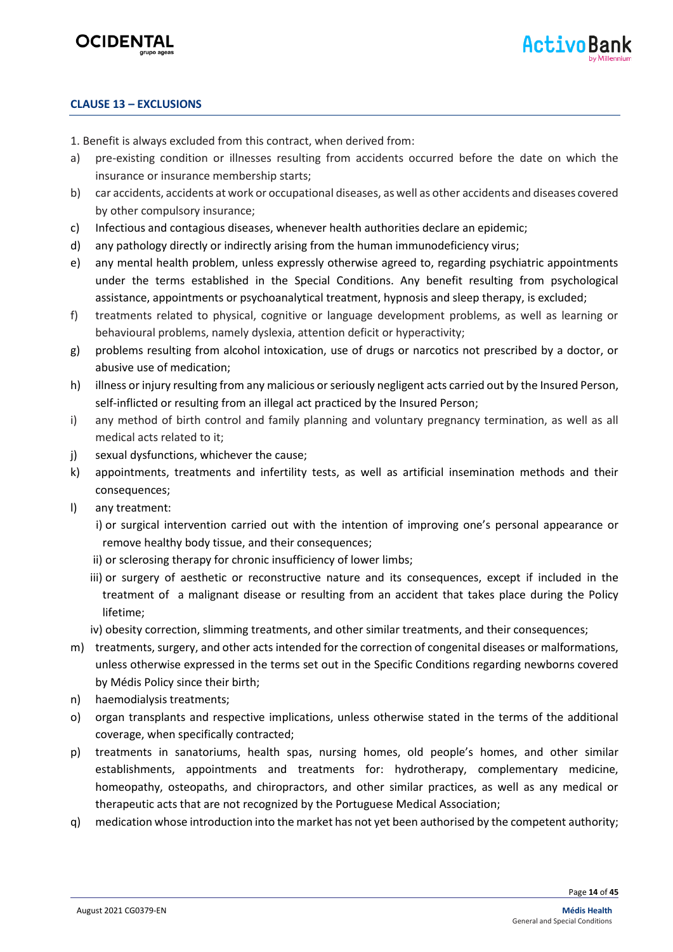

#### **CLAUSE 13 – EXCLUSIONS**

- 1. Benefit is always excluded from this contract, when derived from:
- a) pre-existing condition or illnesses resulting from accidents occurred before the date on which the insurance or insurance membership starts;
- b) car accidents, accidents at work or occupational diseases, as well as other accidents and diseases covered by other compulsory insurance;
- c) Infectious and contagious diseases, whenever health authorities declare an epidemic;
- d) any pathology directly or indirectly arising from the human immunodeficiency virus;
- e) any mental health problem, unless expressly otherwise agreed to, regarding psychiatric appointments under the terms established in the Special Conditions. Any benefit resulting from psychological assistance, appointments or psychoanalytical treatment, hypnosis and sleep therapy, is excluded;
- f) treatments related to physical, cognitive or language development problems, as well as learning or behavioural problems, namely dyslexia, attention deficit or hyperactivity;
- g) problems resulting from alcohol intoxication, use of drugs or narcotics not prescribed by a doctor, or abusive use of medication;
- h) illness or injury resulting from any malicious orseriously negligent acts carried out by the Insured Person, self-inflicted or resulting from an illegal act practiced by the Insured Person;
- i) any method of birth control and family planning and voluntary pregnancy termination, as well as all medical acts related to it;
- j) sexual dysfunctions, whichever the cause;
- k) appointments, treatments and infertility tests, as well as artificial insemination methods and their consequences;
- l) any treatment:
	- i) or surgical intervention carried out with the intention of improving one's personal appearance or remove healthy body tissue, and their consequences;
	- ii) or sclerosing therapy for chronic insufficiency of lower limbs;
	- iii) or surgery of aesthetic or reconstructive nature and its consequences, except if included in the treatment of a malignant disease or resulting from an accident that takes place during the Policy lifetime;
	- iv) obesity correction, slimming treatments, and other similar treatments, and their consequences;
- m) treatments, surgery, and other acts intended for the correction of congenital diseases or malformations, unless otherwise expressed in the terms set out in the Specific Conditions regarding newborns covered by Médis Policy since their birth;
- n) haemodialysis treatments;
- o) organ transplants and respective implications, unless otherwise stated in the terms of the additional coverage, when specifically contracted;
- p) treatments in sanatoriums, health spas, nursing homes, old people's homes, and other similar establishments, appointments and treatments for: hydrotherapy, complementary medicine, homeopathy, osteopaths, and chiropractors, and other similar practices, as well as any medical or therapeutic acts that are not recognized by the Portuguese Medical Association;
- q) medication whose introduction into the market has not yet been authorised by the competent authority;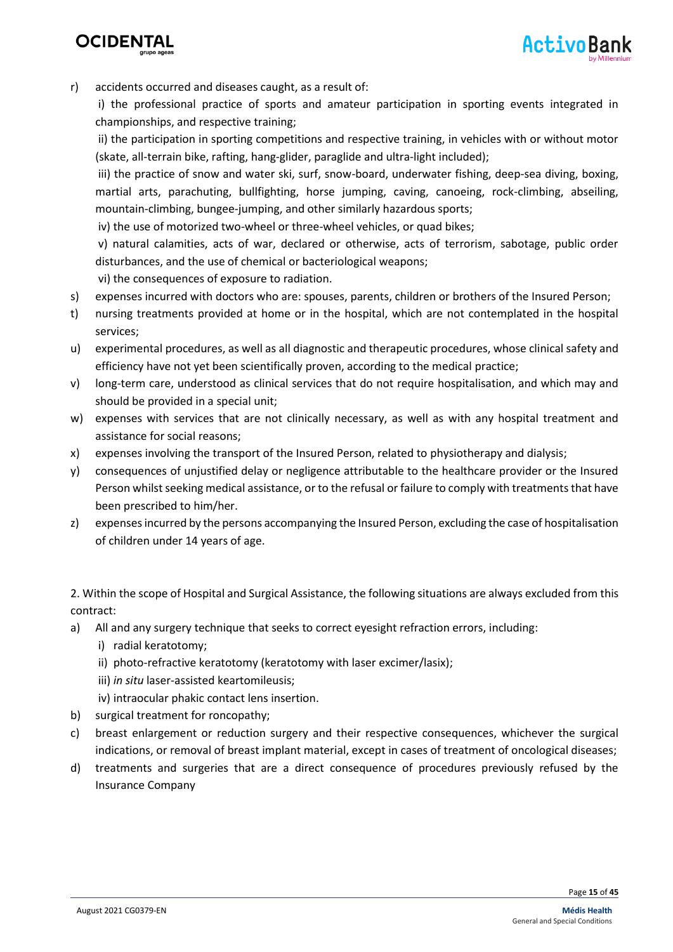



r) accidents occurred and diseases caught, as a result of:

i) the professional practice of sports and amateur participation in sporting events integrated in championships, and respective training;

ii) the participation in sporting competitions and respective training, in vehicles with or without motor (skate, all-terrain bike, rafting, hang-glider, paraglide and ultra-light included);

iii) the practice of snow and water ski, surf, snow-board, underwater fishing, deep-sea diving, boxing, martial arts, parachuting, bullfighting, horse jumping, caving, canoeing, rock-climbing, abseiling, mountain-climbing, bungee-jumping, and other similarly hazardous sports;

iv) the use of motorized two-wheel or three-wheel vehicles, or quad bikes;

v) natural calamities, acts of war, declared or otherwise, acts of terrorism, sabotage, public order disturbances, and the use of chemical or bacteriological weapons;

vi) the consequences of exposure to radiation.

- s) expenses incurred with doctors who are: spouses, parents, children or brothers of the Insured Person;
- t) nursing treatments provided at home or in the hospital, which are not contemplated in the hospital services;
- u) experimental procedures, as well as all diagnostic and therapeutic procedures, whose clinical safety and efficiency have not yet been scientifically proven, according to the medical practice;
- v) long-term care, understood as clinical services that do not require hospitalisation, and which may and should be provided in a special unit;
- w) expenses with services that are not clinically necessary, as well as with any hospital treatment and assistance for social reasons;
- x) expenses involving the transport of the Insured Person, related to physiotherapy and dialysis;
- y) consequences of unjustified delay or negligence attributable to the healthcare provider or the Insured Person whilst seeking medical assistance, or to the refusal or failure to comply with treatments that have been prescribed to him/her.
- z) expenses incurred by the persons accompanying the Insured Person, excluding the case of hospitalisation of children under 14 years of age.

2. Within the scope of Hospital and Surgical Assistance, the following situations are always excluded from this contract:

- a) All and any surgery technique that seeks to correct eyesight refraction errors, including:
	- i) radial keratotomy;
	- ii) photo-refractive keratotomy (keratotomy with laser excimer/lasix);
	- iii) *in situ* laser-assisted keartomileusis;
	- iv) intraocular phakic contact lens insertion.
- b) surgical treatment for roncopathy;
- c) breast enlargement or reduction surgery and their respective consequences, whichever the surgical indications, or removal of breast implant material, except in cases of treatment of oncological diseases;
- d) treatments and surgeries that are a direct consequence of procedures previously refused by the Insurance Company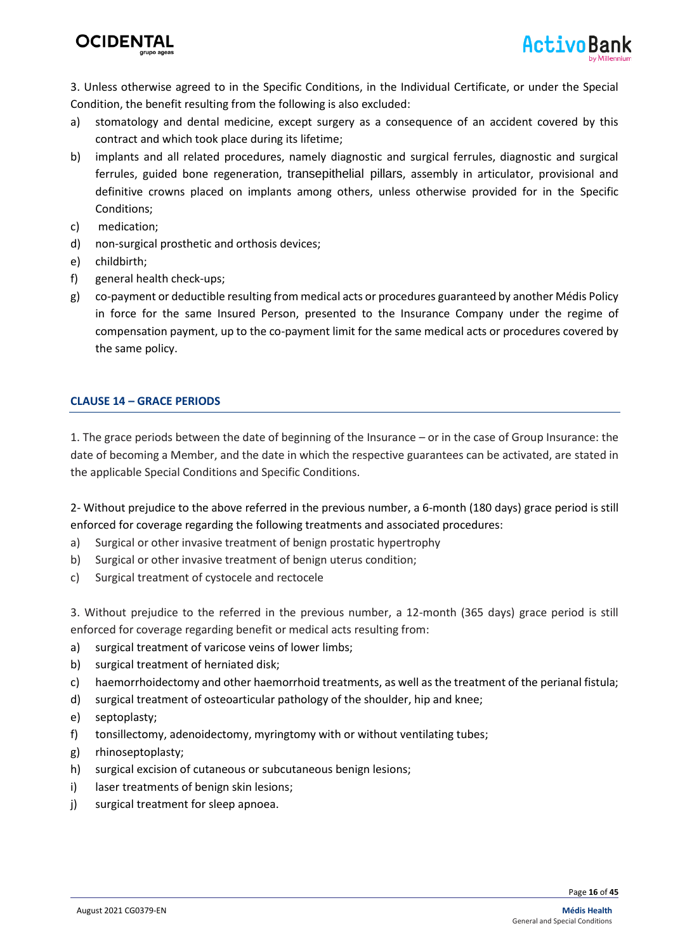

3. Unless otherwise agreed to in the Specific Conditions, in the Individual Certificate, or under the Special Condition, the benefit resulting from the following is also excluded:

- a) stomatology and dental medicine, except surgery as a consequence of an accident covered by this contract and which took place during its lifetime;
- b) implants and all related procedures, namely diagnostic and surgical ferrules, diagnostic and surgical ferrules, guided bone regeneration, transepithelial pillars, assembly in articulator, provisional and definitive crowns placed on implants among others, unless otherwise provided for in the Specific Conditions;
- c) medication;
- d) non-surgical prosthetic and orthosis devices;
- e) childbirth;
- f) general health check-ups;
- g) co-payment or deductible resulting from medical acts or procedures guaranteed by another Médis Policy in force for the same Insured Person, presented to the Insurance Company under the regime of compensation payment, up to the co-payment limit for the same medical acts or procedures covered by the same policy.

#### **CLAUSE 14 – GRACE PERIODS**

1. The grace periods between the date of beginning of the Insurance – or in the case of Group Insurance: the date of becoming a Member, and the date in which the respective guarantees can be activated, are stated in the applicable Special Conditions and Specific Conditions.

2- Without prejudice to the above referred in the previous number, a 6-month (180 days) grace period is still enforced for coverage regarding the following treatments and associated procedures:

- a) Surgical or other invasive treatment of benign prostatic hypertrophy
- b) Surgical or other invasive treatment of benign uterus condition;
- c) Surgical treatment of cystocele and rectocele

3. Without prejudice to the referred in the previous number, a 12-month (365 days) grace period is still enforced for coverage regarding benefit or medical acts resulting from:

- a) surgical treatment of varicose veins of lower limbs;
- b) surgical treatment of herniated disk;
- c) haemorrhoidectomy and other haemorrhoid treatments, as well as the treatment of the perianal fistula;
- d) surgical treatment of osteoarticular pathology of the shoulder, hip and knee;
- e) septoplasty;
- f) tonsillectomy, adenoidectomy, myringtomy with or without ventilating tubes;
- g) rhinoseptoplasty;
- h) surgical excision of cutaneous or subcutaneous benign lesions;
- i) laser treatments of benign skin lesions;
- j) surgical treatment for sleep apnoea.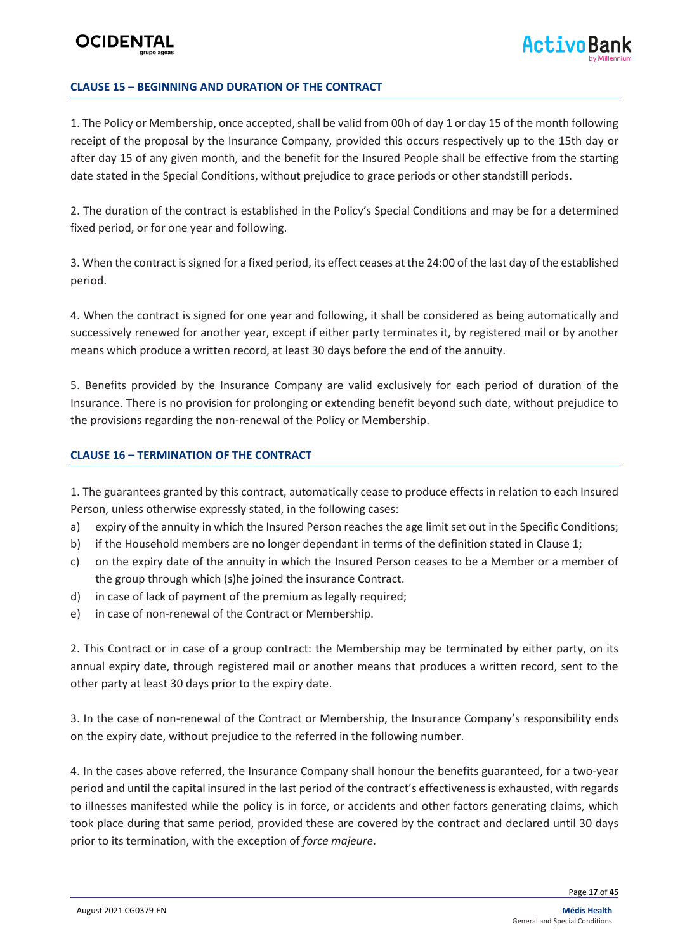#### **CLAUSE 15 – BEGINNING AND DURATION OF THE CONTRACT**

1. The Policy or Membership, once accepted, shall be valid from 00h of day 1 or day 15 of the month following receipt of the proposal by the Insurance Company, provided this occurs respectively up to the 15th day or after day 15 of any given month, and the benefit for the Insured People shall be effective from the starting date stated in the Special Conditions, without prejudice to grace periods or other standstill periods.

2. The duration of the contract is established in the Policy's Special Conditions and may be for a determined fixed period, or for one year and following.

3. When the contract is signed for a fixed period, its effect ceases at the 24:00 of the last day of the established period.

4. When the contract is signed for one year and following, it shall be considered as being automatically and successively renewed for another year, except if either party terminates it, by registered mail or by another means which produce a written record, at least 30 days before the end of the annuity.

5. Benefits provided by the Insurance Company are valid exclusively for each period of duration of the Insurance. There is no provision for prolonging or extending benefit beyond such date, without prejudice to the provisions regarding the non-renewal of the Policy or Membership.

#### **CLAUSE 16 – TERMINATION OF THE CONTRACT**

1. The guarantees granted by this contract, automatically cease to produce effects in relation to each Insured Person, unless otherwise expressly stated, in the following cases:

- a) expiry of the annuity in which the Insured Person reaches the age limit set out in the Specific Conditions;
- b) if the Household members are no longer dependant in terms of the definition stated in Clause 1;
- c) on the expiry date of the annuity in which the Insured Person ceases to be a Member or a member of the group through which (s)he joined the insurance Contract.
- d) in case of lack of payment of the premium as legally required;
- e) in case of non-renewal of the Contract or Membership.

2. This Contract or in case of a group contract: the Membership may be terminated by either party, on its annual expiry date, through registered mail or another means that produces a written record, sent to the other party at least 30 days prior to the expiry date.

3. In the case of non-renewal of the Contract or Membership, the Insurance Company's responsibility ends on the expiry date, without prejudice to the referred in the following number.

4. In the cases above referred, the Insurance Company shall honour the benefits guaranteed, for a two-year period and until the capital insured in the last period of the contract's effectiveness is exhausted, with regards to illnesses manifested while the policy is in force, or accidents and other factors generating claims, which took place during that same period, provided these are covered by the contract and declared until 30 days prior to its termination, with the exception of *force majeure*.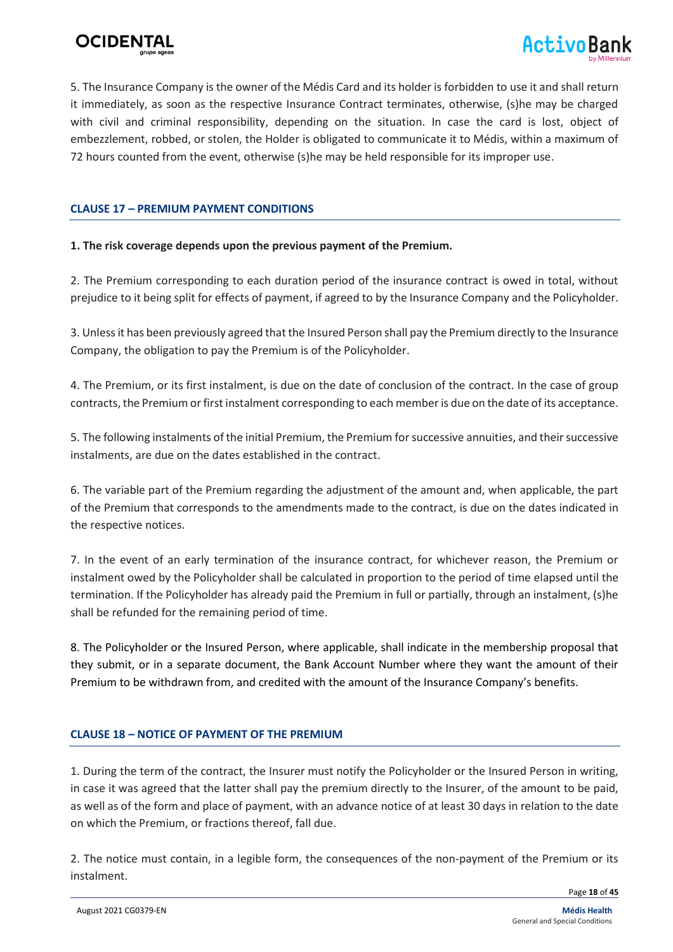



5. The Insurance Company is the owner of the Médis Card and its holder is forbidden to use it and shall return it immediately, as soon as the respective Insurance Contract terminates, otherwise, (s)he may be charged with civil and criminal responsibility, depending on the situation. In case the card is lost, object of embezzlement, robbed, or stolen, the Holder is obligated to communicate it to Médis, within a maximum of 72 hours counted from the event, otherwise (s)he may be held responsible for its improper use.

#### **CLAUSE 17 – PREMIUM PAYMENT CONDITIONS**

#### **1. The risk coverage depends upon the previous payment of the Premium.**

2. The Premium corresponding to each duration period of the insurance contract is owed in total, without prejudice to it being split for effects of payment, if agreed to by the Insurance Company and the Policyholder.

3. Unless it has been previously agreed that the Insured Person shall pay the Premium directly to the Insurance Company, the obligation to pay the Premium is of the Policyholder.

4. The Premium, or its first instalment, is due on the date of conclusion of the contract. In the case of group contracts, the Premium or first instalment corresponding to each member is due on the date of its acceptance.

5. The following instalments of the initial Premium, the Premium for successive annuities, and their successive instalments, are due on the dates established in the contract.

6. The variable part of the Premium regarding the adjustment of the amount and, when applicable, the part of the Premium that corresponds to the amendments made to the contract, is due on the dates indicated in the respective notices.

7. In the event of an early termination of the insurance contract, for whichever reason, the Premium or instalment owed by the Policyholder shall be calculated in proportion to the period of time elapsed until the termination. If the Policyholder has already paid the Premium in full or partially, through an instalment, (s)he shall be refunded for the remaining period of time.

8. The Policyholder or the Insured Person, where applicable, shall indicate in the membership proposal that they submit, or in a separate document, the Bank Account Number where they want the amount of their Premium to be withdrawn from, and credited with the amount of the Insurance Company's benefits.

#### **CLAUSE 18 – NOTICE OF PAYMENT OF THE PREMIUM**

1. During the term of the contract, the Insurer must notify the Policyholder or the Insured Person in writing, in case it was agreed that the latter shall pay the premium directly to the Insurer, of the amount to be paid, as well as of the form and place of payment, with an advance notice of at least 30 days in relation to the date on which the Premium, or fractions thereof, fall due.

2. The notice must contain, in a legible form, the consequences of the non-payment of the Premium or its instalment.

Page **18** of **45**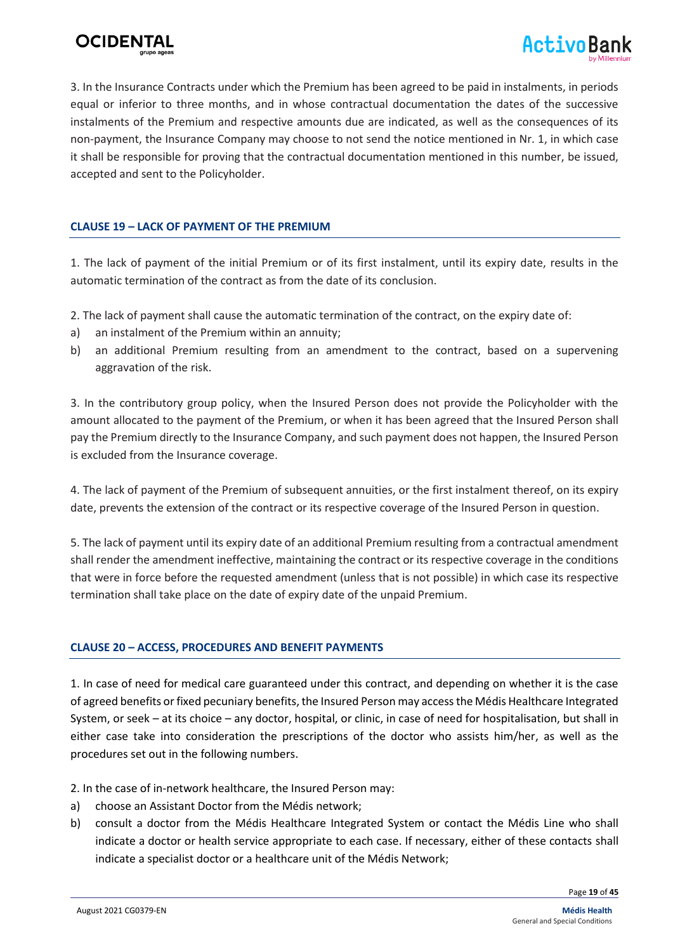



3. In the Insurance Contracts under which the Premium has been agreed to be paid in instalments, in periods equal or inferior to three months, and in whose contractual documentation the dates of the successive instalments of the Premium and respective amounts due are indicated, as well as the consequences of its non-payment, the Insurance Company may choose to not send the notice mentioned in Nr. 1, in which case it shall be responsible for proving that the contractual documentation mentioned in this number, be issued, accepted and sent to the Policyholder.

#### **CLAUSE 19 – LACK OF PAYMENT OF THE PREMIUM**

1. The lack of payment of the initial Premium or of its first instalment, until its expiry date, results in the automatic termination of the contract as from the date of its conclusion.

2. The lack of payment shall cause the automatic termination of the contract, on the expiry date of:

- a) an instalment of the Premium within an annuity;
- b) an additional Premium resulting from an amendment to the contract, based on a supervening aggravation of the risk.

3. In the contributory group policy, when the Insured Person does not provide the Policyholder with the amount allocated to the payment of the Premium, or when it has been agreed that the Insured Person shall pay the Premium directly to the Insurance Company, and such payment does not happen, the Insured Person is excluded from the Insurance coverage.

4. The lack of payment of the Premium of subsequent annuities, or the first instalment thereof, on its expiry date, prevents the extension of the contract or its respective coverage of the Insured Person in question.

5. The lack of payment until its expiry date of an additional Premium resulting from a contractual amendment shall render the amendment ineffective, maintaining the contract or its respective coverage in the conditions that were in force before the requested amendment (unless that is not possible) in which case its respective termination shall take place on the date of expiry date of the unpaid Premium.

#### **CLAUSE 20 – ACCESS, PROCEDURES AND BENEFIT PAYMENTS**

1. In case of need for medical care guaranteed under this contract, and depending on whether it is the case of agreed benefits or fixed pecuniary benefits, the Insured Person may access the Médis Healthcare Integrated System, or seek – at its choice – any doctor, hospital, or clinic, in case of need for hospitalisation, but shall in either case take into consideration the prescriptions of the doctor who assists him/her, as well as the procedures set out in the following numbers.

- 2. In the case of in-network healthcare, the Insured Person may:
- a) choose an Assistant Doctor from the Médis network;
- b) consult a doctor from the Médis Healthcare Integrated System or contact the Médis Line who shall indicate a doctor or health service appropriate to each case. If necessary, either of these contacts shall indicate a specialist doctor or a healthcare unit of the Médis Network;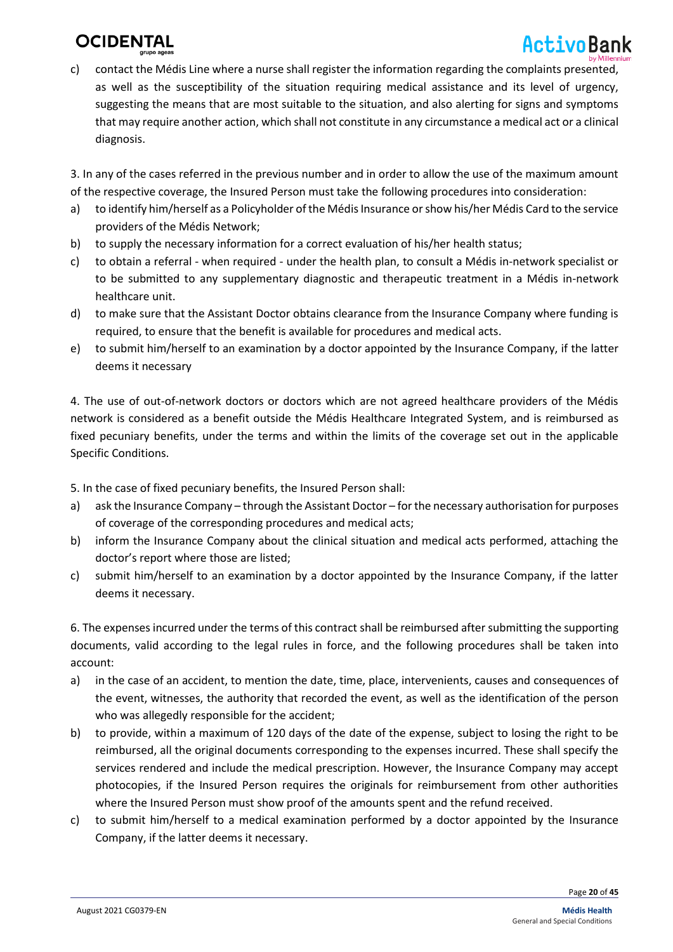# ActivoBank

c) contact the Médis Line where a nurse shall register the information regarding the complaints presented, as well as the susceptibility of the situation requiring medical assistance and its level of urgency, suggesting the means that are most suitable to the situation, and also alerting for signs and symptoms that may require another action, which shall not constitute in any circumstance a medical act or a clinical diagnosis.

3. In any of the cases referred in the previous number and in order to allow the use of the maximum amount of the respective coverage, the Insured Person must take the following procedures into consideration:

- a) to identify him/herself as a Policyholder of the Médis Insurance or show his/her Médis Card to the service providers of the Médis Network;
- b) to supply the necessary information for a correct evaluation of his/her health status;
- c) to obtain a referral when required under the health plan, to consult a Médis in-network specialist or to be submitted to any supplementary diagnostic and therapeutic treatment in a Médis in-network healthcare unit.
- d) to make sure that the Assistant Doctor obtains clearance from the Insurance Company where funding is required, to ensure that the benefit is available for procedures and medical acts.
- e) to submit him/herself to an examination by a doctor appointed by the Insurance Company, if the latter deems it necessary

4. The use of out-of-network doctors or doctors which are not agreed healthcare providers of the Médis network is considered as a benefit outside the Médis Healthcare Integrated System, and is reimbursed as fixed pecuniary benefits, under the terms and within the limits of the coverage set out in the applicable Specific Conditions.

5. In the case of fixed pecuniary benefits, the Insured Person shall:

- a) ask the Insurance Company through the Assistant Doctor for the necessary authorisation for purposes of coverage of the corresponding procedures and medical acts;
- b) inform the Insurance Company about the clinical situation and medical acts performed, attaching the doctor's report where those are listed;
- c) submit him/herself to an examination by a doctor appointed by the Insurance Company, if the latter deems it necessary.

6. The expenses incurred under the terms of this contract shall be reimbursed after submitting the supporting documents, valid according to the legal rules in force, and the following procedures shall be taken into account:

- a) in the case of an accident, to mention the date, time, place, intervenients, causes and consequences of the event, witnesses, the authority that recorded the event, as well as the identification of the person who was allegedly responsible for the accident;
- b) to provide, within a maximum of 120 days of the date of the expense, subject to losing the right to be reimbursed, all the original documents corresponding to the expenses incurred. These shall specify the services rendered and include the medical prescription. However, the Insurance Company may accept photocopies, if the Insured Person requires the originals for reimbursement from other authorities where the Insured Person must show proof of the amounts spent and the refund received.
- c) to submit him/herself to a medical examination performed by a doctor appointed by the Insurance Company, if the latter deems it necessary.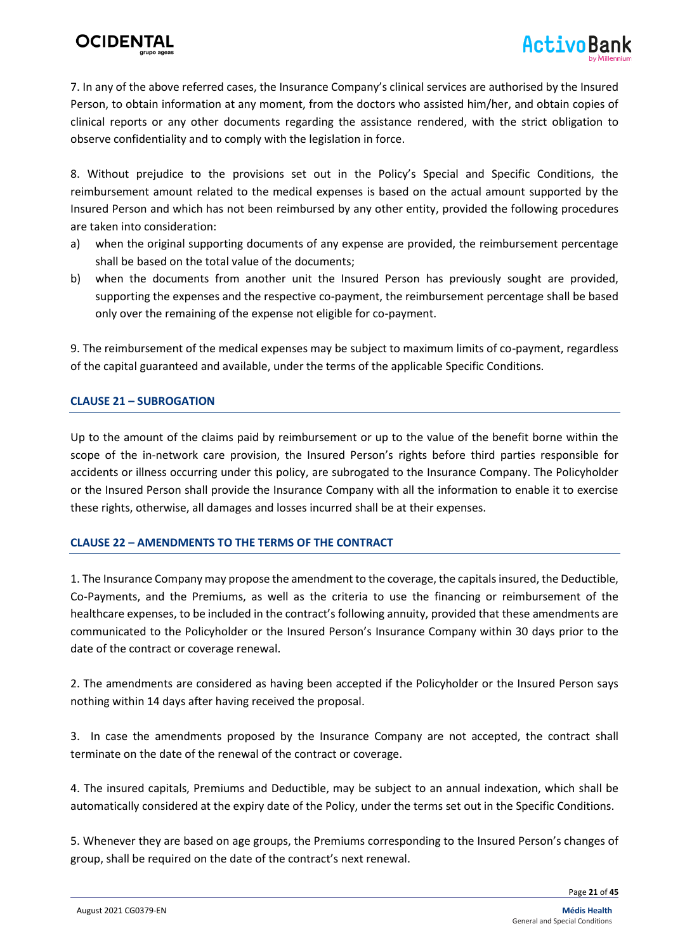

7. In any of the above referred cases, the Insurance Company's clinical services are authorised by the Insured Person, to obtain information at any moment, from the doctors who assisted him/her, and obtain copies of clinical reports or any other documents regarding the assistance rendered, with the strict obligation to observe confidentiality and to comply with the legislation in force.

8. Without prejudice to the provisions set out in the Policy's Special and Specific Conditions, the reimbursement amount related to the medical expenses is based on the actual amount supported by the Insured Person and which has not been reimbursed by any other entity, provided the following procedures are taken into consideration:

- a) when the original supporting documents of any expense are provided, the reimbursement percentage shall be based on the total value of the documents;
- b) when the documents from another unit the Insured Person has previously sought are provided, supporting the expenses and the respective co-payment, the reimbursement percentage shall be based only over the remaining of the expense not eligible for co-payment.

9. The reimbursement of the medical expenses may be subject to maximum limits of co-payment, regardless of the capital guaranteed and available, under the terms of the applicable Specific Conditions.

#### **CLAUSE 21 – SUBROGATION**

Up to the amount of the claims paid by reimbursement or up to the value of the benefit borne within the scope of the in-network care provision, the Insured Person's rights before third parties responsible for accidents or illness occurring under this policy, are subrogated to the Insurance Company. The Policyholder or the Insured Person shall provide the Insurance Company with all the information to enable it to exercise these rights, otherwise, all damages and losses incurred shall be at their expenses.

#### **CLAUSE 22 – AMENDMENTS TO THE TERMS OF THE CONTRACT**

1. The Insurance Company may propose the amendment to the coverage, the capitals insured, the Deductible, Co-Payments, and the Premiums, as well as the criteria to use the financing or reimbursement of the healthcare expenses, to be included in the contract's following annuity, provided that these amendments are communicated to the Policyholder or the Insured Person's Insurance Company within 30 days prior to the date of the contract or coverage renewal.

2. The amendments are considered as having been accepted if the Policyholder or the Insured Person says nothing within 14 days after having received the proposal.

3. In case the amendments proposed by the Insurance Company are not accepted, the contract shall terminate on the date of the renewal of the contract or coverage.

4. The insured capitals, Premiums and Deductible, may be subject to an annual indexation, which shall be automatically considered at the expiry date of the Policy, under the terms set out in the Specific Conditions.

5. Whenever they are based on age groups, the Premiums corresponding to the Insured Person's changes of group, shall be required on the date of the contract's next renewal.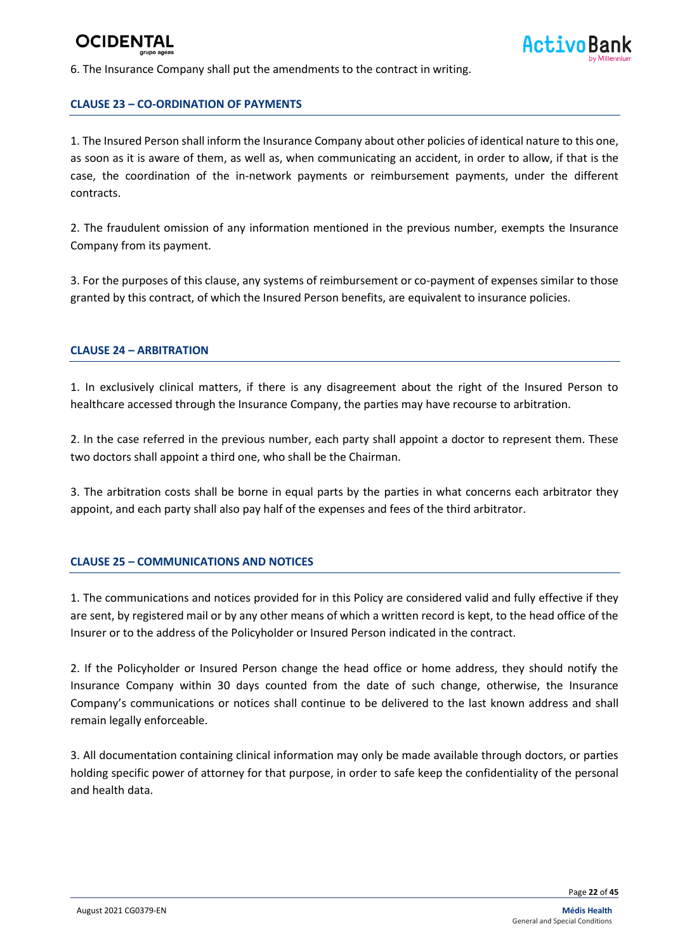6. The Insurance Company shall put the amendments to the contract in writing.

#### **CLAUSE 23 – CO-ORDINATION OF PAYMENTS**

1. The Insured Person shall inform the Insurance Company about other policies of identical nature to this one, as soon as it is aware of them, as well as, when communicating an accident, in order to allow, if that is the case, the coordination of the in-network payments or reimbursement payments, under the different contracts.

2. The fraudulent omission of any information mentioned in the previous number, exempts the Insurance Company from its payment.

3. For the purposes of this clause, any systems of reimbursement or co-payment of expenses similar to those granted by this contract, of which the Insured Person benefits, are equivalent to insurance policies.

#### **CLAUSE 24 – ARBITRATION**

1. In exclusively clinical matters, if there is any disagreement about the right of the Insured Person to healthcare accessed through the Insurance Company, the parties may have recourse to arbitration.

2. In the case referred in the previous number, each party shall appoint a doctor to represent them. These two doctors shall appoint a third one, who shall be the Chairman.

3. The arbitration costs shall be borne in equal parts by the parties in what concerns each arbitrator they appoint, and each party shall also pay half of the expenses and fees of the third arbitrator.

#### **CLAUSE 25 – COMMUNICATIONS AND NOTICES**

1. The communications and notices provided for in this Policy are considered valid and fully effective if they are sent, by registered mail or by any other means of which a written record is kept, to the head office of the Insurer or to the address of the Policyholder or Insured Person indicated in the contract.

2. If the Policyholder or Insured Person change the head office or home address, they should notify the Insurance Company within 30 days counted from the date of such change, otherwise, the Insurance Company's communications or notices shall continue to be delivered to the last known address and shall remain legally enforceable.

3. All documentation containing clinical information may only be made available through doctors, or parties holding specific power of attorney for that purpose, in order to safe keep the confidentiality of the personal and health data.

Page **22** of **45**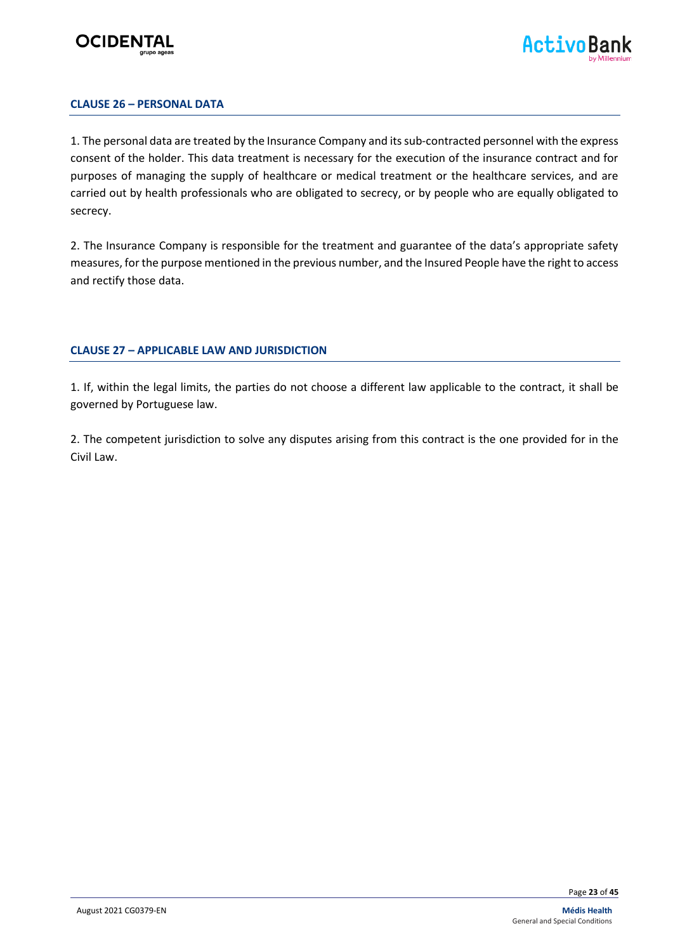



#### **CLAUSE 26 – PERSONAL DATA**

1. The personal data are treated by the Insurance Company and its sub-contracted personnel with the express consent of the holder. This data treatment is necessary for the execution of the insurance contract and for purposes of managing the supply of healthcare or medical treatment or the healthcare services, and are carried out by health professionals who are obligated to secrecy, or by people who are equally obligated to secrecy.

2. The Insurance Company is responsible for the treatment and guarantee of the data's appropriate safety measures, for the purpose mentioned in the previous number, and the Insured People have the right to access and rectify those data.

#### **CLAUSE 27 – APPLICABLE LAW AND JURISDICTION**

1. If, within the legal limits, the parties do not choose a different law applicable to the contract, it shall be governed by Portuguese law.

2. The competent jurisdiction to solve any disputes arising from this contract is the one provided for in the Civil Law.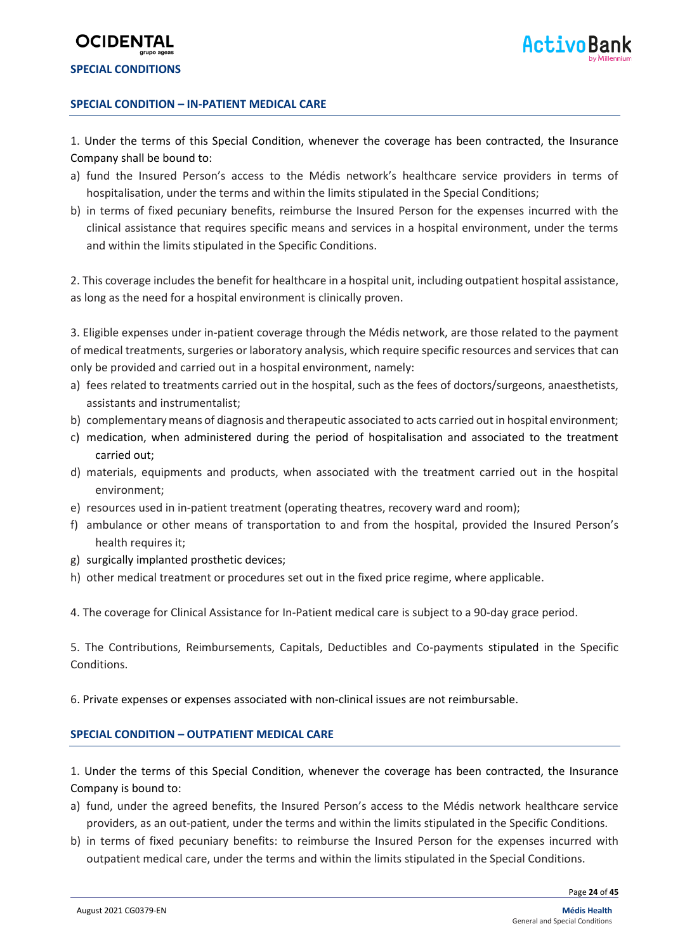### **OCIDENT SPECIAL CONDITIONS**

#### **SPECIAL CONDITION – IN-PATIENT MEDICAL CARE**

1. Under the terms of this Special Condition, whenever the coverage has been contracted, the Insurance Company shall be bound to:

- a) fund the Insured Person's access to the Médis network's healthcare service providers in terms of hospitalisation, under the terms and within the limits stipulated in the Special Conditions;
- b) in terms of fixed pecuniary benefits, reimburse the Insured Person for the expenses incurred with the clinical assistance that requires specific means and services in a hospital environment, under the terms and within the limits stipulated in the Specific Conditions.

2. This coverage includes the benefit for healthcare in a hospital unit, including outpatient hospital assistance, as long as the need for a hospital environment is clinically proven.

3. Eligible expenses under in-patient coverage through the Médis network, are those related to the payment of medical treatments, surgeries or laboratory analysis, which require specific resources and services that can only be provided and carried out in a hospital environment, namely:

- a) fees related to treatments carried out in the hospital, such as the fees of doctors/surgeons, anaesthetists, assistants and instrumentalist;
- b) complementary means of diagnosis and therapeutic associated to acts carried out in hospital environment;
- c) medication, when administered during the period of hospitalisation and associated to the treatment carried out;
- d) materials, equipments and products, when associated with the treatment carried out in the hospital environment;
- e) resources used in in-patient treatment (operating theatres, recovery ward and room);
- f) ambulance or other means of transportation to and from the hospital, provided the Insured Person's health requires it;
- g) surgically implanted prosthetic devices;
- h) other medical treatment or procedures set out in the fixed price regime, where applicable.

4. The coverage for Clinical Assistance for In-Patient medical care is subject to a 90-day grace period.

5. The Contributions, Reimbursements, Capitals, Deductibles and Co-payments stipulated in the Specific Conditions.

6. Private expenses or expenses associated with non-clinical issues are not reimbursable.

#### **SPECIAL CONDITION – OUTPATIENT MEDICAL CARE**

1. Under the terms of this Special Condition, whenever the coverage has been contracted, the Insurance Company is bound to:

- a) fund, under the agreed benefits, the Insured Person's access to the Médis network healthcare service providers, as an out-patient, under the terms and within the limits stipulated in the Specific Conditions.
- b) in terms of fixed pecuniary benefits: to reimburse the Insured Person for the expenses incurred with outpatient medical care, under the terms and within the limits stipulated in the Special Conditions.

Page **24** of **45**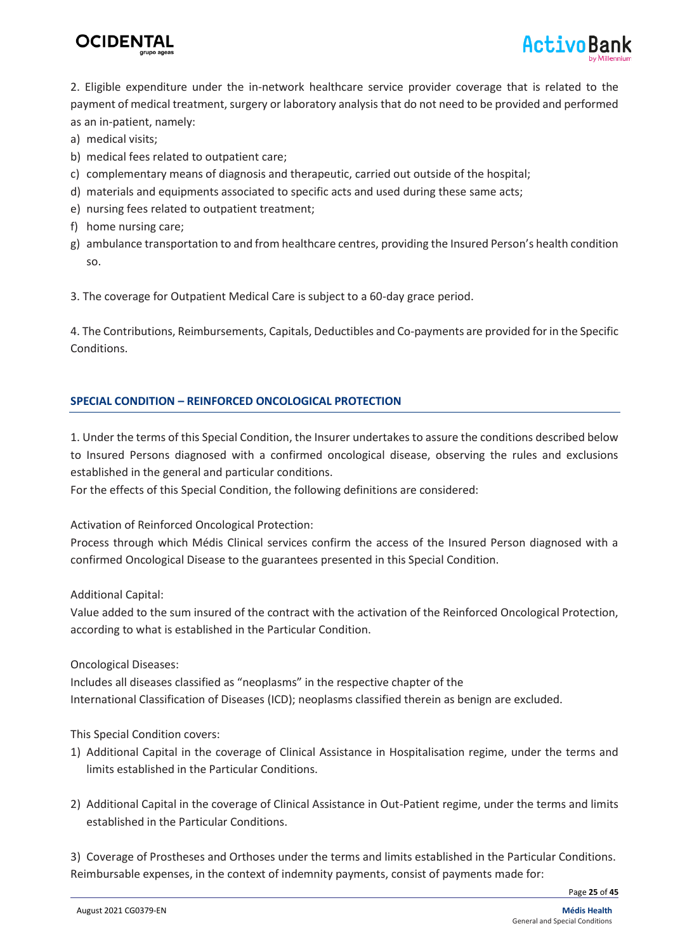



2. Eligible expenditure under the in-network healthcare service provider coverage that is related to the payment of medical treatment, surgery or laboratory analysis that do not need to be provided and performed as an in-patient, namely:

- a) medical visits;
- b) medical fees related to outpatient care;
- c) complementary means of diagnosis and therapeutic, carried out outside of the hospital;
- d) materials and equipments associated to specific acts and used during these same acts;
- e) nursing fees related to outpatient treatment;
- f) home nursing care;
- g) ambulance transportation to and from healthcare centres, providing the Insured Person's health condition so.

3. The coverage for Outpatient Medical Care is subject to a 60-day grace period.

4. The Contributions, Reimbursements, Capitals, Deductibles and Co-payments are provided for in the Specific Conditions.

#### **SPECIAL CONDITION – REINFORCED ONCOLOGICAL PROTECTION**

1. Under the terms of this Special Condition, the Insurer undertakes to assure the conditions described below to Insured Persons diagnosed with a confirmed oncological disease, observing the rules and exclusions established in the general and particular conditions.

For the effects of this Special Condition, the following definitions are considered:

Activation of Reinforced Oncological Protection:

Process through which Médis Clinical services confirm the access of the Insured Person diagnosed with a confirmed Oncological Disease to the guarantees presented in this Special Condition.

Additional Capital:

Value added to the sum insured of the contract with the activation of the Reinforced Oncological Protection, according to what is established in the Particular Condition.

Oncological Diseases:

Includes all diseases classified as "neoplasms" in the respective chapter of the International Classification of Diseases (ICD); neoplasms classified therein as benign are excluded.

#### This Special Condition covers:

- 1) Additional Capital in the coverage of Clinical Assistance in Hospitalisation regime, under the terms and limits established in the Particular Conditions.
- 2) Additional Capital in the coverage of Clinical Assistance in Out-Patient regime, under the terms and limits established in the Particular Conditions.

3) Coverage of Prostheses and Orthoses under the terms and limits established in the Particular Conditions. Reimbursable expenses, in the context of indemnity payments, consist of payments made for:

Page **25** of **45**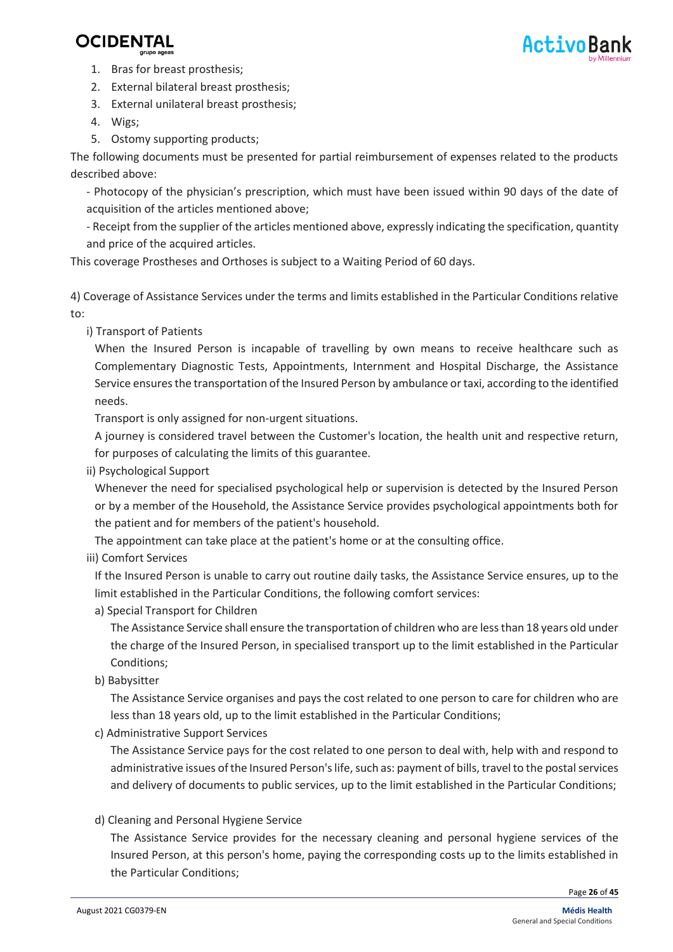

- 1. Bras for breast prosthesis;
- 2. External bilateral breast prosthesis;
- 3. External unilateral breast prosthesis;
- 4. Wigs;
- 5. Ostomy supporting products;

The following documents must be presented for partial reimbursement of expenses related to the products described above:

- Photocopy of the physician's prescription, which must have been issued within 90 days of the date of acquisition of the articles mentioned above;

- Receipt from the supplier of the articles mentioned above, expressly indicating the specification, quantity and price of the acquired articles.

This coverage Prostheses and Orthoses is subject to a Waiting Period of 60 days.

4) Coverage of Assistance Services under the terms and limits established in the Particular Conditions relative to:

i) Transport of Patients

When the Insured Person is incapable of travelling by own means to receive healthcare such as Complementary Diagnostic Tests, Appointments, Internment and Hospital Discharge, the Assistance Service ensures the transportation of the Insured Person by ambulance or taxi, according to the identified needs.

Transport is only assigned for non-urgent situations.

A journey is considered travel between the Customer's location, the health unit and respective return, for purposes of calculating the limits of this guarantee.

ii) Psychological Support

Whenever the need for specialised psychological help or supervision is detected by the Insured Person or by a member of the Household, the Assistance Service provides psychological appointments both for the patient and for members of the patient's household.

The appointment can take place at the patient's home or at the consulting office.

iii) Comfort Services

If the Insured Person is unable to carry out routine daily tasks, the Assistance Service ensures, up to the limit established in the Particular Conditions, the following comfort services:

a) Special Transport for Children

The Assistance Service shall ensure the transportation of children who are less than 18 years old under the charge of the Insured Person, in specialised transport up to the limit established in the Particular Conditions;

b) Babysitter

The Assistance Service organises and pays the cost related to one person to care for children who are less than 18 years old, up to the limit established in the Particular Conditions;

c) Administrative Support Services

The Assistance Service pays for the cost related to one person to deal with, help with and respond to administrative issues of the Insured Person's life, such as: payment of bills, travel to the postal services and delivery of documents to public services, up to the limit established in the Particular Conditions;

d) Cleaning and Personal Hygiene Service

The Assistance Service provides for the necessary cleaning and personal hygiene services of the Insured Person, at this person's home, paying the corresponding costs up to the limits established in the Particular Conditions;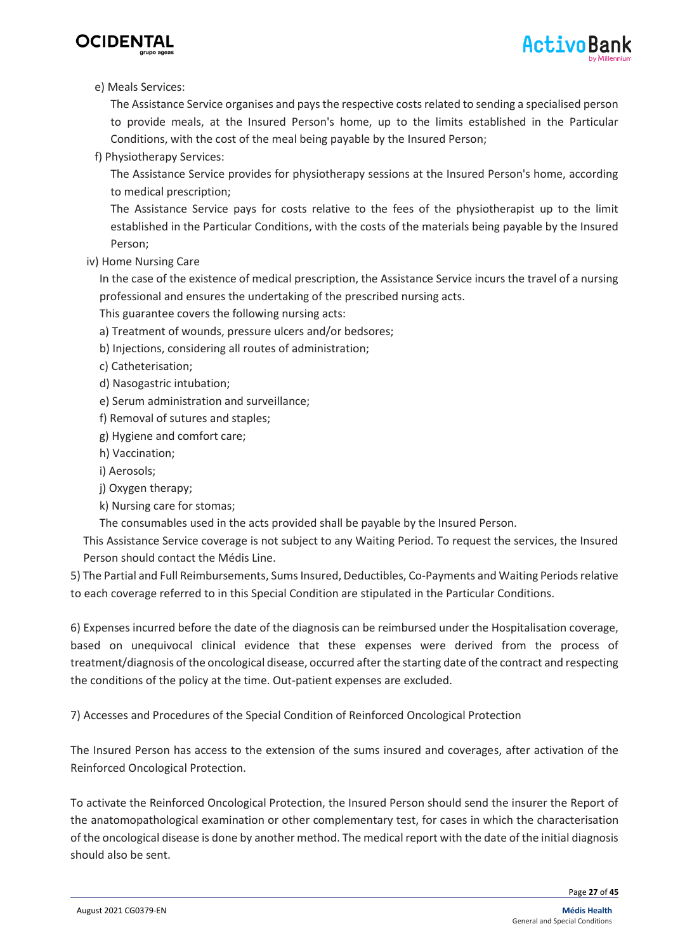

#### e) Meals Services:

The Assistance Service organises and pays the respective costs related to sending a specialised person to provide meals, at the Insured Person's home, up to the limits established in the Particular Conditions, with the cost of the meal being payable by the Insured Person;

f) Physiotherapy Services:

The Assistance Service provides for physiotherapy sessions at the Insured Person's home, according to medical prescription;

The Assistance Service pays for costs relative to the fees of the physiotherapist up to the limit established in the Particular Conditions, with the costs of the materials being payable by the Insured Person;

iv) Home Nursing Care

In the case of the existence of medical prescription, the Assistance Service incurs the travel of a nursing professional and ensures the undertaking of the prescribed nursing acts.

- This guarantee covers the following nursing acts:
- a) Treatment of wounds, pressure ulcers and/or bedsores;
- b) Injections, considering all routes of administration;
- c) Catheterisation;
- d) Nasogastric intubation;
- e) Serum administration and surveillance;
- f) Removal of sutures and staples;
- g) Hygiene and comfort care;
- h) Vaccination;
- i) Aerosols;
- j) Oxygen therapy;
- k) Nursing care for stomas;
- The consumables used in the acts provided shall be payable by the Insured Person.

This Assistance Service coverage is not subject to any Waiting Period. To request the services, the Insured Person should contact the Médis Line.

5) The Partial and Full Reimbursements, Sums Insured, Deductibles, Co-Payments and Waiting Periods relative to each coverage referred to in this Special Condition are stipulated in the Particular Conditions.

6) Expenses incurred before the date of the diagnosis can be reimbursed under the Hospitalisation coverage, based on unequivocal clinical evidence that these expenses were derived from the process of treatment/diagnosis of the oncological disease, occurred after the starting date of the contract and respecting the conditions of the policy at the time. Out-patient expenses are excluded.

7) Accesses and Procedures of the Special Condition of Reinforced Oncological Protection

The Insured Person has access to the extension of the sums insured and coverages, after activation of the Reinforced Oncological Protection.

To activate the Reinforced Oncological Protection, the Insured Person should send the insurer the Report of the anatomopathological examination or other complementary test, for cases in which the characterisation of the oncological disease is done by another method. The medical report with the date of the initial diagnosis should also be sent.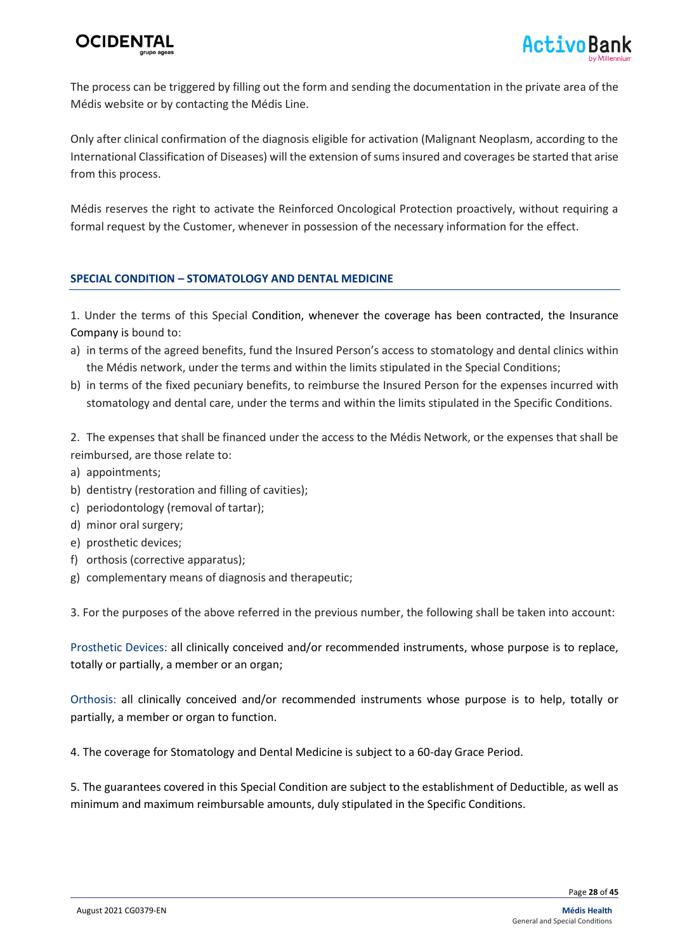The process can be triggered by filling out the form and sending the documentation in the private area of the Médis website or by contacting the Médis Line.

Only after clinical confirmation of the diagnosis eligible for activation (Malignant Neoplasm, according to the International Classification of Diseases) will the extension of sums insured and coverages be started that arise from this process.

Médis reserves the right to activate the Reinforced Oncological Protection proactively, without requiring a formal request by the Customer, whenever in possession of the necessary information for the effect.

#### **SPECIAL CONDITION – STOMATOLOGY AND DENTAL MEDICINE**

1. Under the terms of this Special Condition, whenever the coverage has been contracted, the Insurance Company is bound to:

- a) in terms of the agreed benefits, fund the Insured Person's access to stomatology and dental clinics within the Médis network, under the terms and within the limits stipulated in the Special Conditions;
- b) in terms of the fixed pecuniary benefits, to reimburse the Insured Person for the expenses incurred with stomatology and dental care, under the terms and within the limits stipulated in the Specific Conditions.

2. The expenses that shall be financed under the access to the Médis Network, or the expenses that shall be reimbursed, are those relate to:

- a) appointments;
- b) dentistry (restoration and filling of cavities);
- c) periodontology (removal of tartar);
- d) minor oral surgery;
- e) prosthetic devices;
- f) orthosis (corrective apparatus);
- g) complementary means of diagnosis and therapeutic;

3. For the purposes of the above referred in the previous number, the following shall be taken into account:

Prosthetic Devices: all clinically conceived and/or recommended instruments, whose purpose is to replace, totally or partially, a member or an organ;

Orthosis: all clinically conceived and/or recommended instruments whose purpose is to help, totally or partially, a member or organ to function.

4. The coverage for Stomatology and Dental Medicine is subject to a 60-day Grace Period.

5. The guarantees covered in this Special Condition are subject to the establishment of Deductible, as well as minimum and maximum reimbursable amounts, duly stipulated in the Specific Conditions.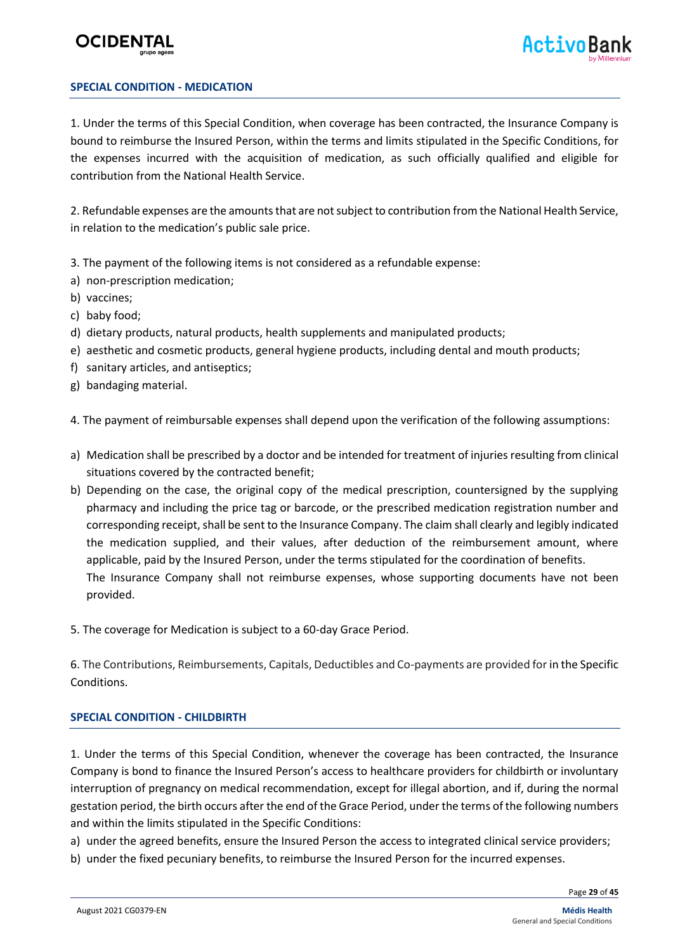#### **SPECIAL CONDITION - MEDICATION**

1. Under the terms of this Special Condition, when coverage has been contracted, the Insurance Company is bound to reimburse the Insured Person, within the terms and limits stipulated in the Specific Conditions, for the expenses incurred with the acquisition of medication, as such officially qualified and eligible for contribution from the National Health Service.

2. Refundable expenses are the amounts that are not subject to contribution from the National Health Service, in relation to the medication's public sale price.

- 3. The payment of the following items is not considered as a refundable expense:
- a) non-prescription medication;
- b) vaccines;
- c) baby food;
- d) dietary products, natural products, health supplements and manipulated products;
- e) aesthetic and cosmetic products, general hygiene products, including dental and mouth products;
- f) sanitary articles, and antiseptics;
- g) bandaging material.

4. The payment of reimbursable expenses shall depend upon the verification of the following assumptions:

- a) Medication shall be prescribed by a doctor and be intended for treatment of injuries resulting from clinical situations covered by the contracted benefit;
- b) Depending on the case, the original copy of the medical prescription, countersigned by the supplying pharmacy and including the price tag or barcode, or the prescribed medication registration number and corresponding receipt, shall be sent to the Insurance Company. The claim shall clearly and legibly indicated the medication supplied, and their values, after deduction of the reimbursement amount, where applicable, paid by the Insured Person, under the terms stipulated for the coordination of benefits. The Insurance Company shall not reimburse expenses, whose supporting documents have not been provided.
- 5. The coverage for Medication is subject to a 60-day Grace Period.

6. The Contributions, Reimbursements, Capitals, Deductibles and Co-payments are provided for in the Specific Conditions.

#### **SPECIAL CONDITION - CHILDBIRTH**

1. Under the terms of this Special Condition, whenever the coverage has been contracted, the Insurance Company is bond to finance the Insured Person's access to healthcare providers for childbirth or involuntary interruption of pregnancy on medical recommendation, except for illegal abortion, and if, during the normal gestation period, the birth occurs after the end of the Grace Period, under the terms of the following numbers and within the limits stipulated in the Specific Conditions:

a) under the agreed benefits, ensure the Insured Person the access to integrated clinical service providers;

b) under the fixed pecuniary benefits, to reimburse the Insured Person for the incurred expenses.

Page **29** of **45**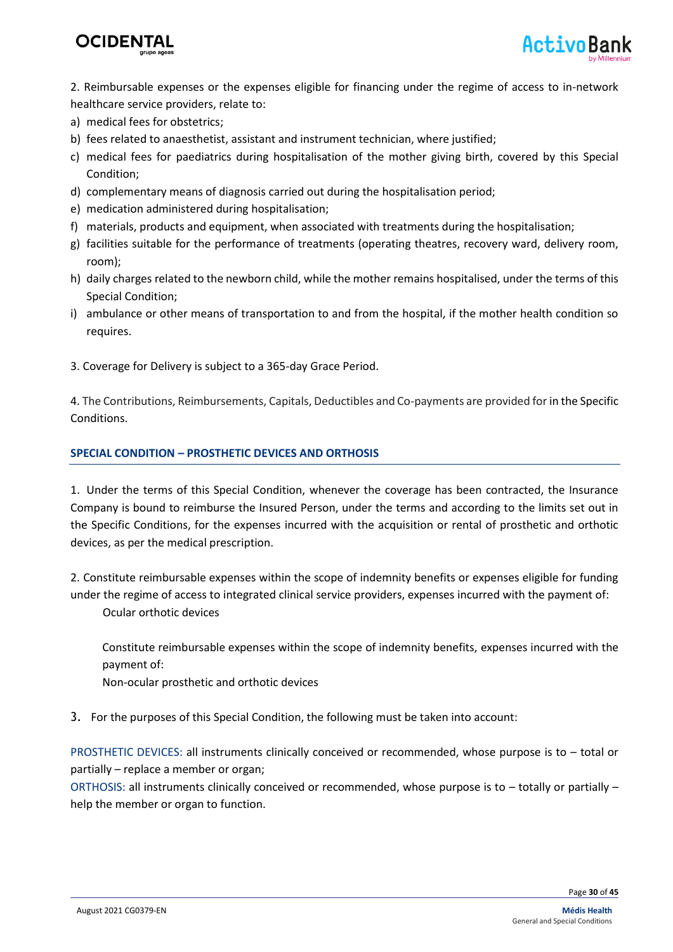

2. Reimbursable expenses or the expenses eligible for financing under the regime of access to in-network healthcare service providers, relate to:

- a) medical fees for obstetrics;
- b) fees related to anaesthetist, assistant and instrument technician, where justified;
- c) medical fees for paediatrics during hospitalisation of the mother giving birth, covered by this Special Condition;
- d) complementary means of diagnosis carried out during the hospitalisation period;
- e) medication administered during hospitalisation;
- f) materials, products and equipment, when associated with treatments during the hospitalisation;
- g) facilities suitable for the performance of treatments (operating theatres, recovery ward, delivery room, room);
- h) daily charges related to the newborn child, while the mother remains hospitalised, under the terms of this Special Condition;
- i) ambulance or other means of transportation to and from the hospital, if the mother health condition so requires.
- 3. Coverage for Delivery is subject to a 365-day Grace Period.

4. The Contributions, Reimbursements, Capitals, Deductibles and Co-payments are provided for in the Specific Conditions.

#### **SPECIAL CONDITION – PROSTHETIC DEVICES AND ORTHOSIS**

1. Under the terms of this Special Condition, whenever the coverage has been contracted, the Insurance Company is bound to reimburse the Insured Person, under the terms and according to the limits set out in the Specific Conditions, for the expenses incurred with the acquisition or rental of prosthetic and orthotic devices, as per the medical prescription.

2. Constitute reimbursable expenses within the scope of indemnity benefits or expenses eligible for funding under the regime of access to integrated clinical service providers, expenses incurred with the payment of:

Ocular orthotic devices

Constitute reimbursable expenses within the scope of indemnity benefits, expenses incurred with the payment of:

Non-ocular prosthetic and orthotic devices

3. For the purposes of this Special Condition, the following must be taken into account:

PROSTHETIC DEVICES: all instruments clinically conceived or recommended, whose purpose is to – total or partially – replace a member or organ;

ORTHOSIS: all instruments clinically conceived or recommended, whose purpose is to – totally or partially – help the member or organ to function.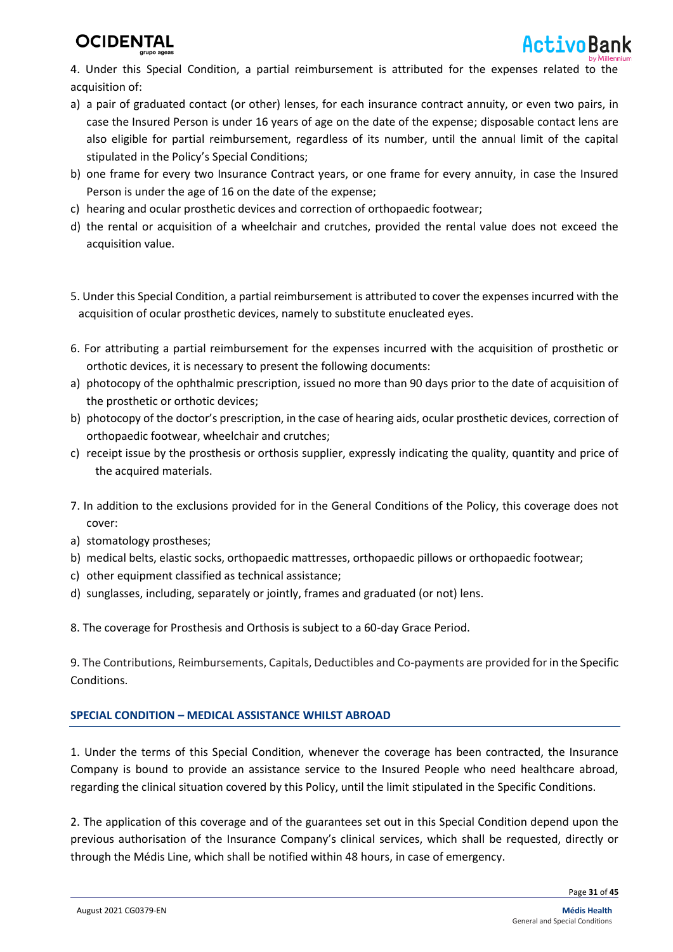

4. Under this Special Condition, a partial reimbursement is attributed for the expenses related to the acquisition of:

- a) a pair of graduated contact (or other) lenses, for each insurance contract annuity, or even two pairs, in case the Insured Person is under 16 years of age on the date of the expense; disposable contact lens are also eligible for partial reimbursement, regardless of its number, until the annual limit of the capital stipulated in the Policy's Special Conditions;
- b) one frame for every two Insurance Contract years, or one frame for every annuity, in case the Insured Person is under the age of 16 on the date of the expense;
- c) hearing and ocular prosthetic devices and correction of orthopaedic footwear;
- d) the rental or acquisition of a wheelchair and crutches, provided the rental value does not exceed the acquisition value.
- 5. Under this Special Condition, a partial reimbursement is attributed to cover the expenses incurred with the acquisition of ocular prosthetic devices, namely to substitute enucleated eyes.
- 6. For attributing a partial reimbursement for the expenses incurred with the acquisition of prosthetic or orthotic devices, it is necessary to present the following documents:
- a) photocopy of the ophthalmic prescription, issued no more than 90 days prior to the date of acquisition of the prosthetic or orthotic devices;
- b) photocopy of the doctor's prescription, in the case of hearing aids, ocular prosthetic devices, correction of orthopaedic footwear, wheelchair and crutches;
- c) receipt issue by the prosthesis or orthosis supplier, expressly indicating the quality, quantity and price of the acquired materials.
- 7. In addition to the exclusions provided for in the General Conditions of the Policy, this coverage does not cover:
- a) stomatology prostheses;
- b) medical belts, elastic socks, orthopaedic mattresses, orthopaedic pillows or orthopaedic footwear;
- c) other equipment classified as technical assistance;
- d) sunglasses, including, separately or jointly, frames and graduated (or not) lens.

8. The coverage for Prosthesis and Orthosis is subject to a 60-day Grace Period.

9. The Contributions, Reimbursements, Capitals, Deductibles and Co-payments are provided for in the Specific Conditions.

#### **SPECIAL CONDITION – MEDICAL ASSISTANCE WHILST ABROAD**

1. Under the terms of this Special Condition, whenever the coverage has been contracted, the Insurance Company is bound to provide an assistance service to the Insured People who need healthcare abroad, regarding the clinical situation covered by this Policy, until the limit stipulated in the Specific Conditions.

2. The application of this coverage and of the guarantees set out in this Special Condition depend upon the previous authorisation of the Insurance Company's clinical services, which shall be requested, directly or through the Médis Line, which shall be notified within 48 hours, in case of emergency.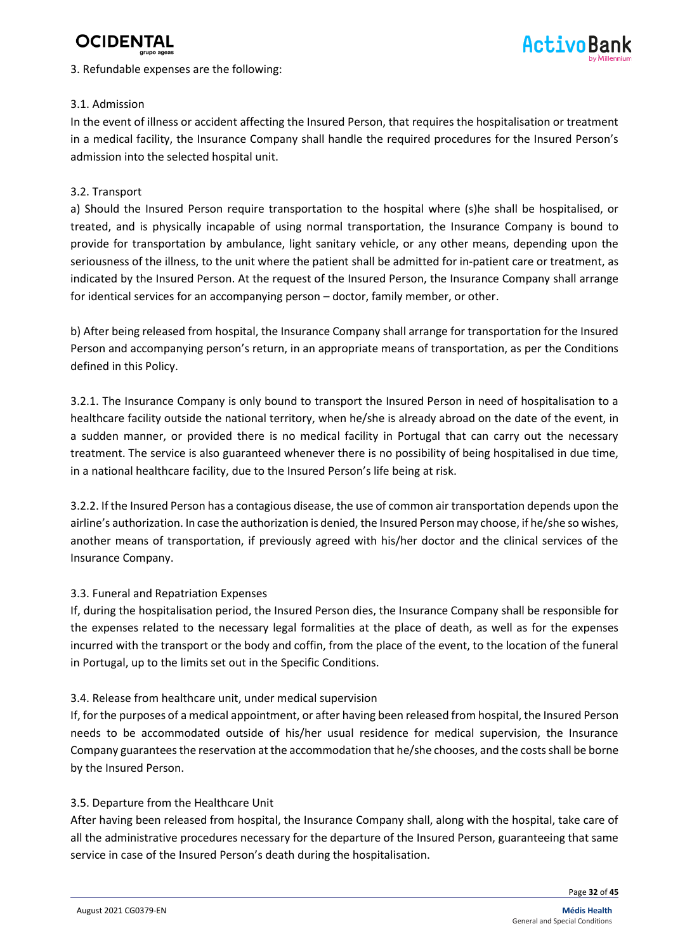

#### 3. Refundable expenses are the following:



#### 3.1. Admission

In the event of illness or accident affecting the Insured Person, that requires the hospitalisation or treatment in a medical facility, the Insurance Company shall handle the required procedures for the Insured Person's admission into the selected hospital unit.

#### 3.2. Transport

a) Should the Insured Person require transportation to the hospital where (s)he shall be hospitalised, or treated, and is physically incapable of using normal transportation, the Insurance Company is bound to provide for transportation by ambulance, light sanitary vehicle, or any other means, depending upon the seriousness of the illness, to the unit where the patient shall be admitted for in-patient care or treatment, as indicated by the Insured Person. At the request of the Insured Person, the Insurance Company shall arrange for identical services for an accompanying person – doctor, family member, or other.

b) After being released from hospital, the Insurance Company shall arrange for transportation for the Insured Person and accompanying person's return, in an appropriate means of transportation, as per the Conditions defined in this Policy.

3.2.1. The Insurance Company is only bound to transport the Insured Person in need of hospitalisation to a healthcare facility outside the national territory, when he/she is already abroad on the date of the event, in a sudden manner, or provided there is no medical facility in Portugal that can carry out the necessary treatment. The service is also guaranteed whenever there is no possibility of being hospitalised in due time, in a national healthcare facility, due to the Insured Person's life being at risk.

3.2.2. If the Insured Person has a contagious disease, the use of common air transportation depends upon the airline's authorization. In case the authorization is denied, the Insured Person may choose, if he/she so wishes, another means of transportation, if previously agreed with his/her doctor and the clinical services of the Insurance Company.

#### 3.3. Funeral and Repatriation Expenses

If, during the hospitalisation period, the Insured Person dies, the Insurance Company shall be responsible for the expenses related to the necessary legal formalities at the place of death, as well as for the expenses incurred with the transport or the body and coffin, from the place of the event, to the location of the funeral in Portugal, up to the limits set out in the Specific Conditions.

#### 3.4. Release from healthcare unit, under medical supervision

If, for the purposes of a medical appointment, or after having been released from hospital, the Insured Person needs to be accommodated outside of his/her usual residence for medical supervision, the Insurance Company guarantees the reservation at the accommodation that he/she chooses, and the costsshall be borne by the Insured Person.

#### 3.5. Departure from the Healthcare Unit

After having been released from hospital, the Insurance Company shall, along with the hospital, take care of all the administrative procedures necessary for the departure of the Insured Person, guaranteeing that same service in case of the Insured Person's death during the hospitalisation.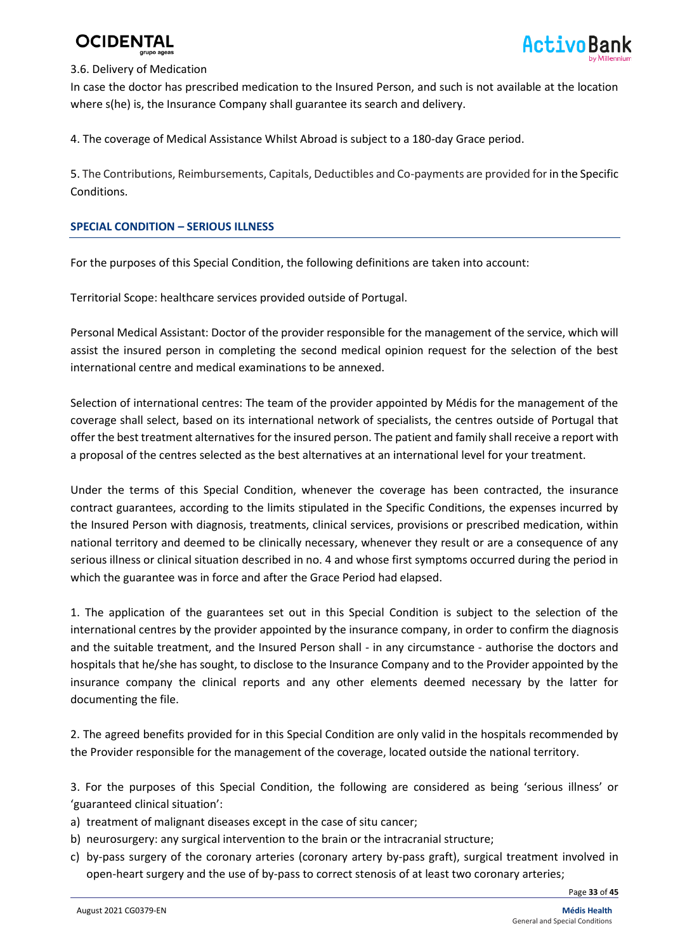#### 3.6. Delivery of Medication

In case the doctor has prescribed medication to the Insured Person, and such is not available at the location where s(he) is, the Insurance Company shall guarantee its search and delivery.

4. The coverage of Medical Assistance Whilst Abroad is subject to a 180-day Grace period.

5. The Contributions, Reimbursements, Capitals, Deductibles and Co-payments are provided for in the Specific Conditions.

#### **SPECIAL CONDITION – SERIOUS ILLNESS**

For the purposes of this Special Condition, the following definitions are taken into account:

Territorial Scope: healthcare services provided outside of Portugal.

Personal Medical Assistant: Doctor of the provider responsible for the management of the service, which will assist the insured person in completing the second medical opinion request for the selection of the best international centre and medical examinations to be annexed.

Selection of international centres: The team of the provider appointed by Médis for the management of the coverage shall select, based on its international network of specialists, the centres outside of Portugal that offer the best treatment alternatives for the insured person. The patient and family shall receive a report with a proposal of the centres selected as the best alternatives at an international level for your treatment.

Under the terms of this Special Condition, whenever the coverage has been contracted, the insurance contract guarantees, according to the limits stipulated in the Specific Conditions, the expenses incurred by the Insured Person with diagnosis, treatments, clinical services, provisions or prescribed medication, within national territory and deemed to be clinically necessary, whenever they result or are a consequence of any serious illness or clinical situation described in no. 4 and whose first symptoms occurred during the period in which the guarantee was in force and after the Grace Period had elapsed.

1. The application of the guarantees set out in this Special Condition is subject to the selection of the international centres by the provider appointed by the insurance company, in order to confirm the diagnosis and the suitable treatment, and the Insured Person shall - in any circumstance - authorise the doctors and hospitals that he/she has sought, to disclose to the Insurance Company and to the Provider appointed by the insurance company the clinical reports and any other elements deemed necessary by the latter for documenting the file.

2. The agreed benefits provided for in this Special Condition are only valid in the hospitals recommended by the Provider responsible for the management of the coverage, located outside the national territory.

3. For the purposes of this Special Condition, the following are considered as being 'serious illness' or 'guaranteed clinical situation':

- a) treatment of malignant diseases except in the case of situ cancer;
- b) neurosurgery: any surgical intervention to the brain or the intracranial structure;
- c) by-pass surgery of the coronary arteries (coronary artery by-pass graft), surgical treatment involved in open-heart surgery and the use of by-pass to correct stenosis of at least two coronary arteries;

Page **33** of **45**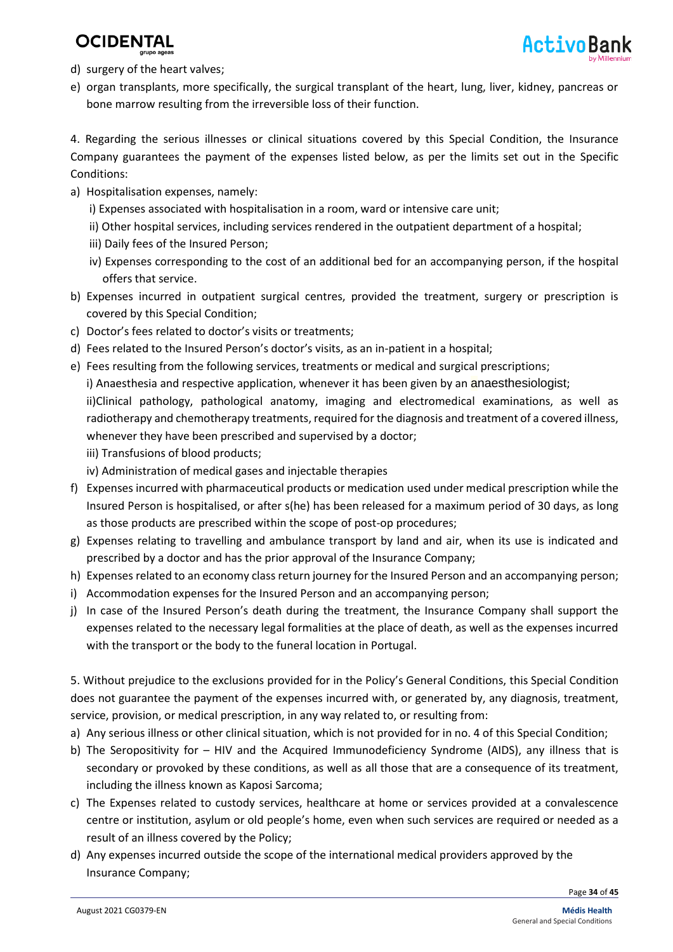- d) surgery of the heart valves;
- e) organ transplants, more specifically, the surgical transplant of the heart, lung, liver, kidney, pancreas or bone marrow resulting from the irreversible loss of their function.

4. Regarding the serious illnesses or clinical situations covered by this Special Condition, the Insurance Company guarantees the payment of the expenses listed below, as per the limits set out in the Specific Conditions:

- a) Hospitalisation expenses, namely:
	- i) Expenses associated with hospitalisation in a room, ward or intensive care unit;
	- ii) Other hospital services, including services rendered in the outpatient department of a hospital;
	- iii) Daily fees of the Insured Person;
	- iv) Expenses corresponding to the cost of an additional bed for an accompanying person, if the hospital offers that service.
- b) Expenses incurred in outpatient surgical centres, provided the treatment, surgery or prescription is covered by this Special Condition;
- c) Doctor's fees related to doctor's visits or treatments;
- d) Fees related to the Insured Person's doctor's visits, as an in-patient in a hospital;
- e) Fees resulting from the following services, treatments or medical and surgical prescriptions; i) Anaesthesia and respective application, whenever it has been given by an anaesthesiologist; ii)Clinical pathology, pathological anatomy, imaging and electromedical examinations, as well as radiotherapy and chemotherapy treatments, required for the diagnosis and treatment of a covered illness, whenever they have been prescribed and supervised by a doctor;
	- iii) Transfusions of blood products;
	- iv) Administration of medical gases and injectable therapies
- f) Expenses incurred with pharmaceutical products or medication used under medical prescription while the Insured Person is hospitalised, or after s(he) has been released for a maximum period of 30 days, as long as those products are prescribed within the scope of post-op procedures;
- g) Expenses relating to travelling and ambulance transport by land and air, when its use is indicated and prescribed by a doctor and has the prior approval of the Insurance Company;
- h) Expenses related to an economy class return journey for the Insured Person and an accompanying person;
- i) Accommodation expenses for the Insured Person and an accompanying person;
- j) In case of the Insured Person's death during the treatment, the Insurance Company shall support the expenses related to the necessary legal formalities at the place of death, as well as the expenses incurred with the transport or the body to the funeral location in Portugal.

5. Without prejudice to the exclusions provided for in the Policy's General Conditions, this Special Condition does not guarantee the payment of the expenses incurred with, or generated by, any diagnosis, treatment, service, provision, or medical prescription, in any way related to, or resulting from:

- a) Any serious illness or other clinical situation, which is not provided for in no. 4 of this Special Condition;
- b) The Seropositivity for HIV and the Acquired Immunodeficiency Syndrome (AIDS), any illness that is secondary or provoked by these conditions, as well as all those that are a consequence of its treatment, including the illness known as Kaposi Sarcoma;
- c) The Expenses related to custody services, healthcare at home or services provided at a convalescence centre or institution, asylum or old people's home, even when such services are required or needed as a result of an illness covered by the Policy;
- d) Any expenses incurred outside the scope of the international medical providers approved by the Insurance Company;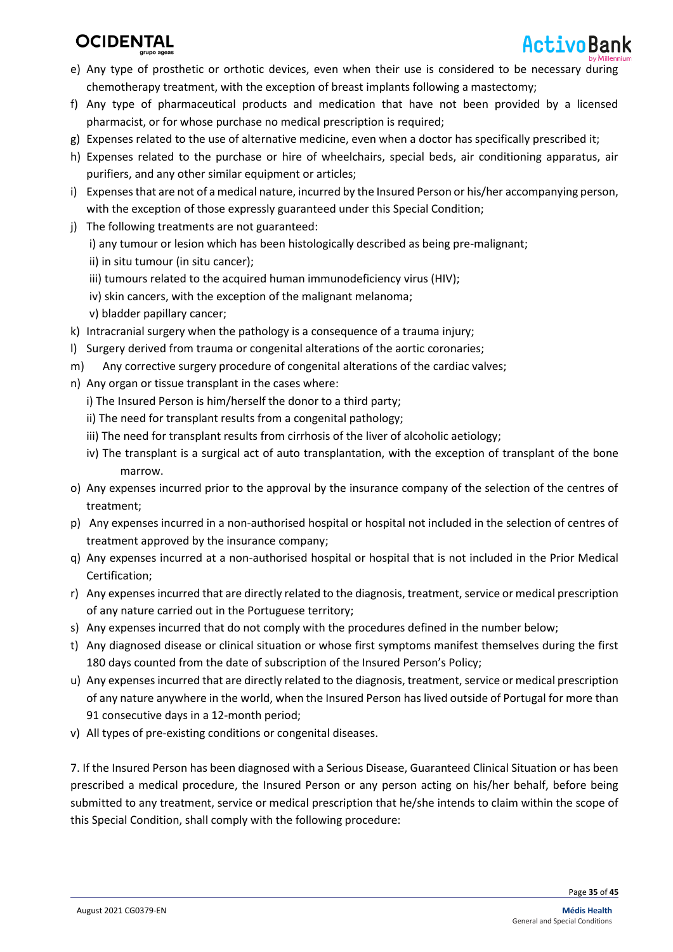

- e) Any type of prosthetic or orthotic devices, even when their use is considered to be necessary during chemotherapy treatment, with the exception of breast implants following a mastectomy;
- f) Any type of pharmaceutical products and medication that have not been provided by a licensed pharmacist, or for whose purchase no medical prescription is required;
- g) Expenses related to the use of alternative medicine, even when a doctor has specifically prescribed it;
- h) Expenses related to the purchase or hire of wheelchairs, special beds, air conditioning apparatus, air purifiers, and any other similar equipment or articles;
- i) Expenses that are not of a medical nature, incurred by the Insured Person or his/her accompanying person, with the exception of those expressly guaranteed under this Special Condition;
- j) The following treatments are not guaranteed:
	- i) any tumour or lesion which has been histologically described as being pre-malignant;
	- ii) in situ tumour (in situ cancer);
	- iii) tumours related to the acquired human immunodeficiency virus (HIV);
	- iv) skin cancers, with the exception of the malignant melanoma;
	- v) bladder papillary cancer;
- k) Intracranial surgery when the pathology is a consequence of a trauma injury;
- l) Surgery derived from trauma or congenital alterations of the aortic coronaries;
- m) Any corrective surgery procedure of congenital alterations of the cardiac valves;
- n) Any organ or tissue transplant in the cases where:
	- i) The Insured Person is him/herself the donor to a third party;
	- ii) The need for transplant results from a congenital pathology;
	- iii) The need for transplant results from cirrhosis of the liver of alcoholic aetiology;
	- iv) The transplant is a surgical act of auto transplantation, with the exception of transplant of the bone marrow.
- o) Any expenses incurred prior to the approval by the insurance company of the selection of the centres of treatment;
- p) Any expenses incurred in a non-authorised hospital or hospital not included in the selection of centres of treatment approved by the insurance company;
- q) Any expenses incurred at a non-authorised hospital or hospital that is not included in the Prior Medical Certification;
- r) Any expenses incurred that are directly related to the diagnosis, treatment, service or medical prescription of any nature carried out in the Portuguese territory;
- s) Any expenses incurred that do not comply with the procedures defined in the number below;
- t) Any diagnosed disease or clinical situation or whose first symptoms manifest themselves during the first 180 days counted from the date of subscription of the Insured Person's Policy;
- u) Any expenses incurred that are directly related to the diagnosis, treatment, service or medical prescription of any nature anywhere in the world, when the Insured Person has lived outside of Portugal for more than 91 consecutive days in a 12-month period;
- v) All types of pre-existing conditions or congenital diseases.

7. If the Insured Person has been diagnosed with a Serious Disease, Guaranteed Clinical Situation or has been prescribed a medical procedure, the Insured Person or any person acting on his/her behalf, before being submitted to any treatment, service or medical prescription that he/she intends to claim within the scope of this Special Condition, shall comply with the following procedure: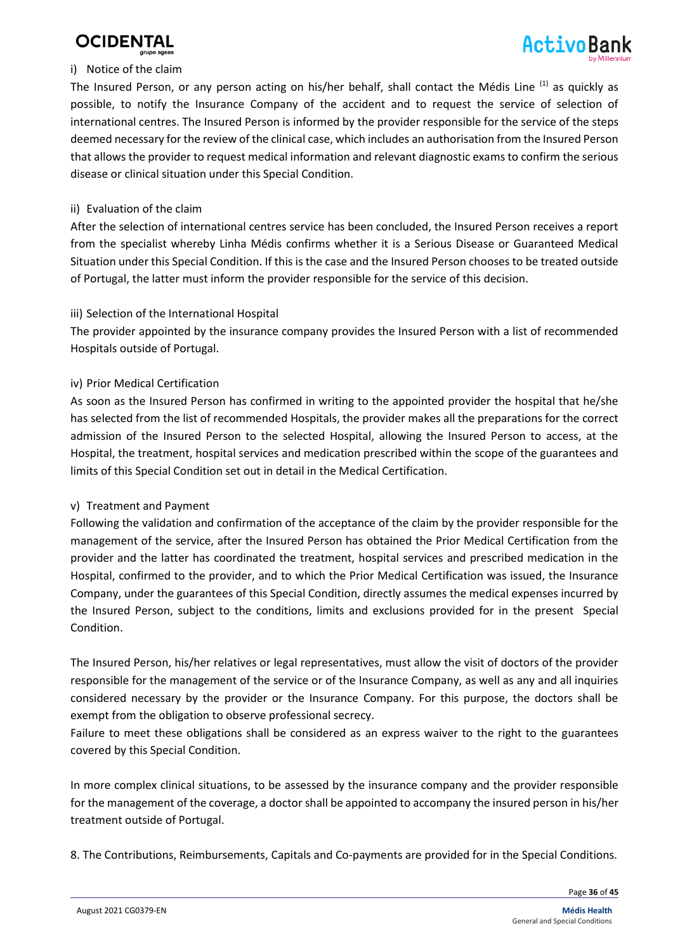



#### i) Notice of the claim

The Insured Person, or any person acting on his/her behalf, shall contact the Médis Line (1) as quickly as possible, to notify the Insurance Company of the accident and to request the service of selection of international centres. The Insured Person is informed by the provider responsible for the service of the steps deemed necessary for the review of the clinical case, which includes an authorisation from the Insured Person that allows the provider to request medical information and relevant diagnostic exams to confirm the serious disease or clinical situation under this Special Condition.

#### ii) Evaluation of the claim

After the selection of international centres service has been concluded, the Insured Person receives a report from the specialist whereby Linha Médis confirms whether it is a Serious Disease or Guaranteed Medical Situation under this Special Condition. If this is the case and the Insured Person chooses to be treated outside of Portugal, the latter must inform the provider responsible for the service of this decision.

#### iii) Selection of the International Hospital

The provider appointed by the insurance company provides the Insured Person with a list of recommended Hospitals outside of Portugal.

#### iv) Prior Medical Certification

As soon as the Insured Person has confirmed in writing to the appointed provider the hospital that he/she has selected from the list of recommended Hospitals, the provider makes all the preparations for the correct admission of the Insured Person to the selected Hospital, allowing the Insured Person to access, at the Hospital, the treatment, hospital services and medication prescribed within the scope of the guarantees and limits of this Special Condition set out in detail in the Medical Certification.

#### v) Treatment and Payment

Following the validation and confirmation of the acceptance of the claim by the provider responsible for the management of the service, after the Insured Person has obtained the Prior Medical Certification from the provider and the latter has coordinated the treatment, hospital services and prescribed medication in the Hospital, confirmed to the provider, and to which the Prior Medical Certification was issued, the Insurance Company, under the guarantees of this Special Condition, directly assumes the medical expenses incurred by the Insured Person, subject to the conditions, limits and exclusions provided for in the present Special Condition.

The Insured Person, his/her relatives or legal representatives, must allow the visit of doctors of the provider responsible for the management of the service or of the Insurance Company, as well as any and all inquiries considered necessary by the provider or the Insurance Company. For this purpose, the doctors shall be exempt from the obligation to observe professional secrecy.

Failure to meet these obligations shall be considered as an express waiver to the right to the guarantees covered by this Special Condition.

In more complex clinical situations, to be assessed by the insurance company and the provider responsible for the management of the coverage, a doctor shall be appointed to accompany the insured person in his/her treatment outside of Portugal.

8. The Contributions, Reimbursements, Capitals and Co-payments are provided for in the Special Conditions.

Page **36** of **45**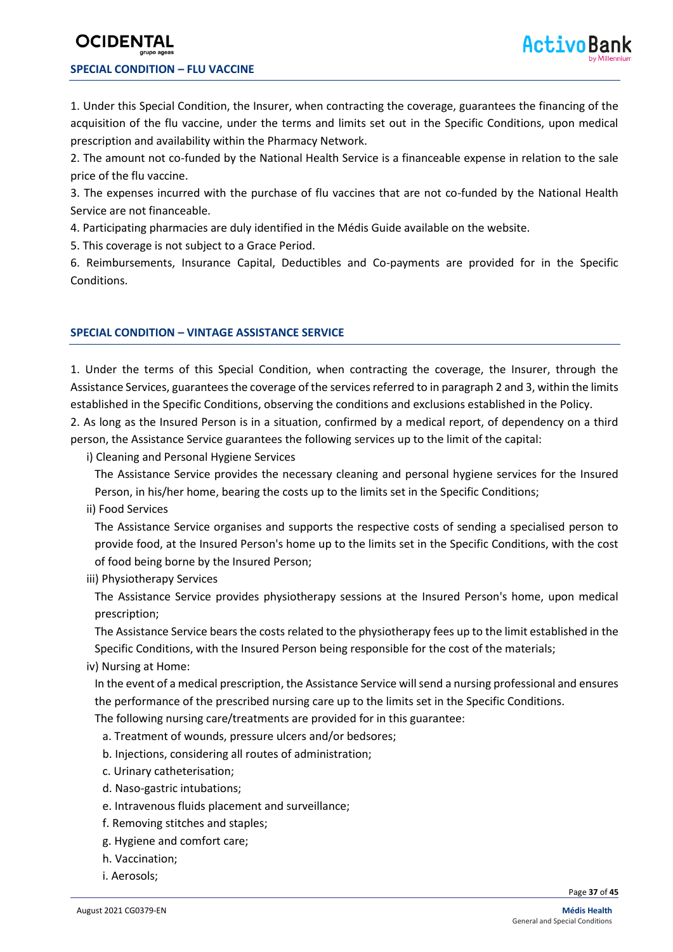### **OCIDENT SPECIAL CONDITION – FLU VACCINE**

1. Under this Special Condition, the Insurer, when contracting the coverage, guarantees the financing of the acquisition of the flu vaccine, under the terms and limits set out in the Specific Conditions, upon medical prescription and availability within the Pharmacy Network.

2. The amount not co-funded by the National Health Service is a financeable expense in relation to the sale price of the flu vaccine.

3. The expenses incurred with the purchase of flu vaccines that are not co-funded by the National Health Service are not financeable.

4. Participating pharmacies are duly identified in the Médis Guide available on the website.

5. This coverage is not subject to a Grace Period.

6. Reimbursements, Insurance Capital, Deductibles and Co-payments are provided for in the Specific Conditions.

#### **SPECIAL CONDITION – VINTAGE ASSISTANCE SERVICE**

1. Under the terms of this Special Condition, when contracting the coverage, the Insurer, through the Assistance Services, guarantees the coverage of the services referred to in paragraph 2 and 3, within the limits established in the Specific Conditions, observing the conditions and exclusions established in the Policy.

2. As long as the Insured Person is in a situation, confirmed by a medical report, of dependency on a third person, the Assistance Service guarantees the following services up to the limit of the capital:

i) Cleaning and Personal Hygiene Services

The Assistance Service provides the necessary cleaning and personal hygiene services for the Insured Person, in his/her home, bearing the costs up to the limits set in the Specific Conditions;

ii) Food Services

The Assistance Service organises and supports the respective costs of sending a specialised person to provide food, at the Insured Person's home up to the limits set in the Specific Conditions, with the cost of food being borne by the Insured Person;

iii) Physiotherapy Services

The Assistance Service provides physiotherapy sessions at the Insured Person's home, upon medical prescription;

The Assistance Service bears the costs related to the physiotherapy fees up to the limit established in the Specific Conditions, with the Insured Person being responsible for the cost of the materials;

iv) Nursing at Home:

In the event of a medical prescription, the Assistance Service will send a nursing professional and ensures the performance of the prescribed nursing care up to the limits set in the Specific Conditions.

The following nursing care/treatments are provided for in this guarantee:

- a. Treatment of wounds, pressure ulcers and/or bedsores;
- b. Injections, considering all routes of administration;
- c. Urinary catheterisation;
- d. Naso-gastric intubations;
- e. Intravenous fluids placement and surveillance;
- f. Removing stitches and staples;
- g. Hygiene and comfort care;
- h. Vaccination;
- i. Aerosols;

Page **37** of **45**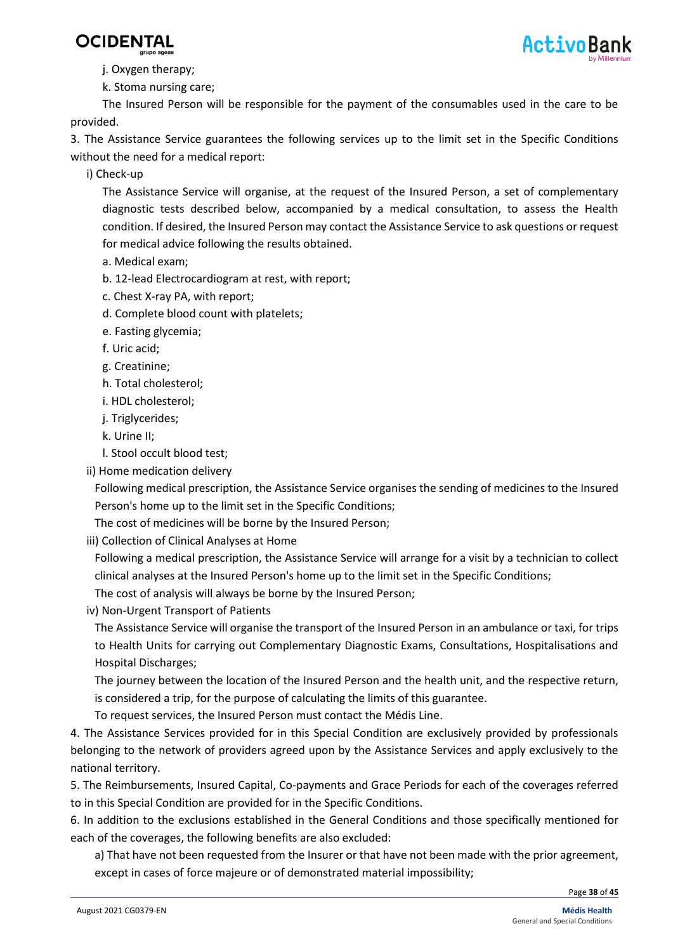



j. Oxygen therapy;

k. Stoma nursing care;

The Insured Person will be responsible for the payment of the consumables used in the care to be provided.

3. The Assistance Service guarantees the following services up to the limit set in the Specific Conditions without the need for a medical report:

i) Check-up

The Assistance Service will organise, at the request of the Insured Person, a set of complementary diagnostic tests described below, accompanied by a medical consultation, to assess the Health condition. If desired, the Insured Person may contact the Assistance Service to ask questions or request for medical advice following the results obtained.

- a. Medical exam;
- b. 12-lead Electrocardiogram at rest, with report;
- c. Chest X-ray PA, with report;
- d. Complete blood count with platelets;
- e. Fasting glycemia;
- f. Uric acid;
- g. Creatinine;
- h. Total cholesterol;
- i. HDL cholesterol;
- j. Triglycerides;
- k. Urine II;
- l. Stool occult blood test;
- ii) Home medication delivery

Following medical prescription, the Assistance Service organises the sending of medicines to the Insured Person's home up to the limit set in the Specific Conditions;

The cost of medicines will be borne by the Insured Person;

iii) Collection of Clinical Analyses at Home

Following a medical prescription, the Assistance Service will arrange for a visit by a technician to collect clinical analyses at the Insured Person's home up to the limit set in the Specific Conditions;

- The cost of analysis will always be borne by the Insured Person;
- iv) Non-Urgent Transport of Patients

The Assistance Service will organise the transport of the Insured Person in an ambulance or taxi, for trips to Health Units for carrying out Complementary Diagnostic Exams, Consultations, Hospitalisations and Hospital Discharges;

The journey between the location of the Insured Person and the health unit, and the respective return, is considered a trip, for the purpose of calculating the limits of this guarantee.

To request services, the Insured Person must contact the Médis Line.

4. The Assistance Services provided for in this Special Condition are exclusively provided by professionals belonging to the network of providers agreed upon by the Assistance Services and apply exclusively to the national territory.

5. The Reimbursements, Insured Capital, Co-payments and Grace Periods for each of the coverages referred to in this Special Condition are provided for in the Specific Conditions.

6. In addition to the exclusions established in the General Conditions and those specifically mentioned for each of the coverages, the following benefits are also excluded:

a) That have not been requested from the Insurer or that have not been made with the prior agreement, except in cases of force majeure or of demonstrated material impossibility;

Page **38** of **45**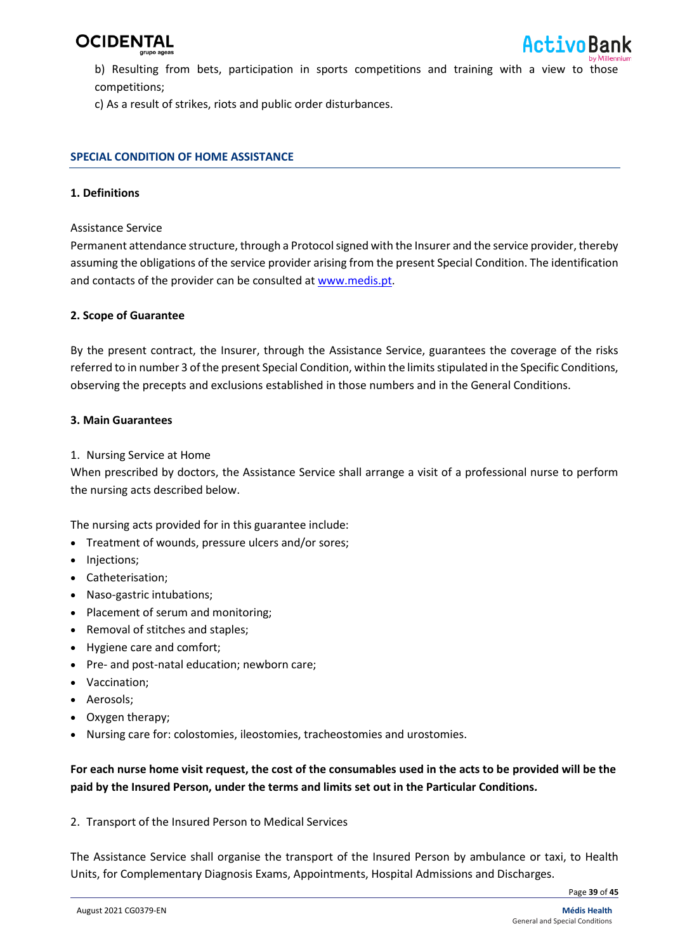

b) Resulting from bets, participation in sports competitions and training with a view to those competitions;

c) As a result of strikes, riots and public order disturbances.

#### **SPECIAL CONDITION OF HOME ASSISTANCE**

#### **1. Definitions**

#### Assistance Service

Permanent attendance structure, through a Protocol signed with the Insurer and the service provider, thereby assuming the obligations of the service provider arising from the present Special Condition. The identification and contacts of the provider can be consulted at [www.medis.pt.](http://www.medis.pt/)

#### **2. Scope of Guarantee**

By the present contract, the Insurer, through the Assistance Service, guarantees the coverage of the risks referred to in number 3 of the present Special Condition, within the limits stipulated in the Specific Conditions, observing the precepts and exclusions established in those numbers and in the General Conditions.

#### **3. Main Guarantees**

#### 1. Nursing Service at Home

When prescribed by doctors, the Assistance Service shall arrange a visit of a professional nurse to perform the nursing acts described below.

The nursing acts provided for in this guarantee include:

- Treatment of wounds, pressure ulcers and/or sores;
- Injections;
- Catheterisation;
- Naso-gastric intubations;
- Placement of serum and monitoring;
- Removal of stitches and staples;
- Hygiene care and comfort;
- Pre- and post-natal education; newborn care;
- Vaccination;
- Aerosols;
- Oxygen therapy;
- Nursing care for: colostomies, ileostomies, tracheostomies and urostomies.

#### **For each nurse home visit request, the cost of the consumables used in the acts to be provided will be the paid by the Insured Person, under the terms and limits set out in the Particular Conditions***.*

2. Transport of the Insured Person to Medical Services

The Assistance Service shall organise the transport of the Insured Person by ambulance or taxi, to Health Units, for Complementary Diagnosis Exams, Appointments, Hospital Admissions and Discharges.

Page **39** of **45**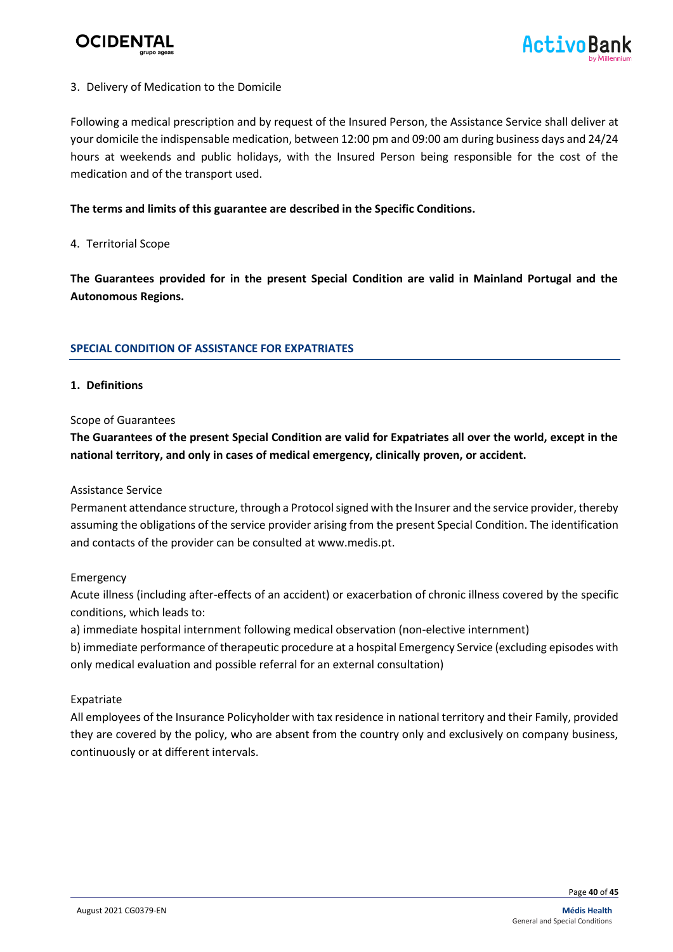

#### 3. Delivery of Medication to the Domicile

Following a medical prescription and by request of the Insured Person, the Assistance Service shall deliver at your domicile the indispensable medication, between 12:00 pm and 09:00 am during business days and 24/24 hours at weekends and public holidays, with the Insured Person being responsible for the cost of the medication and of the transport used.

#### **The terms and limits of this guarantee are described in the Specific Conditions.**

#### 4. Territorial Scope

**The Guarantees provided for in the present Special Condition are valid in Mainland Portugal and the Autonomous Regions.**

#### **SPECIAL CONDITION OF ASSISTANCE FOR EXPATRIATES**

#### **1. Definitions**

#### Scope of Guarantees

**The Guarantees of the present Special Condition are valid for Expatriates all over the world, except in the national territory, and only in cases of medical emergency, clinically proven, or accident.**

#### Assistance Service

Permanent attendance structure, through a Protocol signed with the Insurer and the service provider, thereby assuming the obligations of the service provider arising from the present Special Condition. The identification and contacts of the provider can be consulted at www.medis.pt.

#### Emergency

Acute illness (including after-effects of an accident) or exacerbation of chronic illness covered by the specific conditions, which leads to:

a) immediate hospital internment following medical observation (non-elective internment)

b) immediate performance of therapeutic procedure at a hospital Emergency Service (excluding episodes with only medical evaluation and possible referral for an external consultation)

#### Expatriate

All employees of the Insurance Policyholder with tax residence in national territory and their Family, provided they are covered by the policy, who are absent from the country only and exclusively on company business, continuously or at different intervals.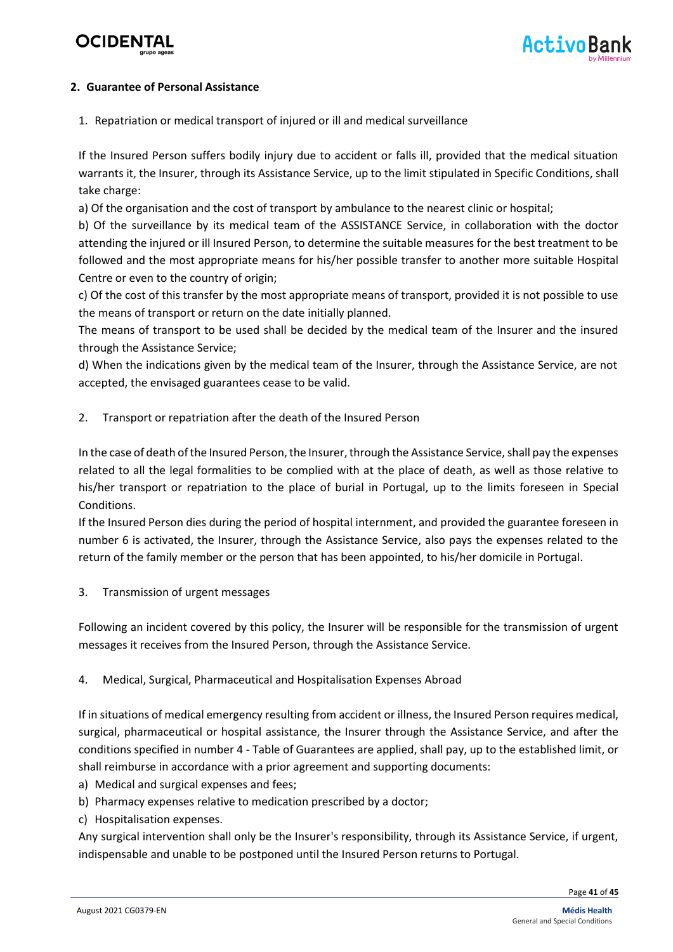

#### **2. Guarantee of Personal Assistance**

1. Repatriation or medical transport of injured or ill and medical surveillance

If the Insured Person suffers bodily injury due to accident or falls ill, provided that the medical situation warrants it, the Insurer, through its Assistance Service, up to the limit stipulated in Specific Conditions, shall take charge:

a) Of the organisation and the cost of transport by ambulance to the nearest clinic or hospital;

b) Of the surveillance by its medical team of the ASSISTANCE Service, in collaboration with the doctor attending the injured or ill Insured Person, to determine the suitable measures for the best treatment to be followed and the most appropriate means for his/her possible transfer to another more suitable Hospital Centre or even to the country of origin;

c) Of the cost of this transfer by the most appropriate means of transport, provided it is not possible to use the means of transport or return on the date initially planned.

The means of transport to be used shall be decided by the medical team of the Insurer and the insured through the Assistance Service;

d) When the indications given by the medical team of the Insurer, through the Assistance Service, are not accepted, the envisaged guarantees cease to be valid.

2. Transport or repatriation after the death of the Insured Person

In the case of death of the Insured Person, the Insurer, through the Assistance Service, shall pay the expenses related to all the legal formalities to be complied with at the place of death, as well as those relative to his/her transport or repatriation to the place of burial in Portugal, up to the limits foreseen in Special Conditions.

If the Insured Person dies during the period of hospital internment, and provided the guarantee foreseen in number 6 is activated, the Insurer, through the Assistance Service, also pays the expenses related to the return of the family member or the person that has been appointed, to his/her domicile in Portugal.

3. Transmission of urgent messages

Following an incident covered by this policy, the Insurer will be responsible for the transmission of urgent messages it receives from the Insured Person, through the Assistance Service.

#### 4. Medical, Surgical, Pharmaceutical and Hospitalisation Expenses Abroad

If in situations of medical emergency resulting from accident or illness, the Insured Person requires medical, surgical, pharmaceutical or hospital assistance, the Insurer through the Assistance Service, and after the conditions specified in number 4 - Table of Guarantees are applied, shall pay, up to the established limit, or shall reimburse in accordance with a prior agreement and supporting documents:

- a) Medical and surgical expenses and fees;
- b) Pharmacy expenses relative to medication prescribed by a doctor;
- c) Hospitalisation expenses.

Any surgical intervention shall only be the Insurer's responsibility, through its Assistance Service, if urgent, indispensable and unable to be postponed until the Insured Person returns to Portugal.

Page **41** of **45**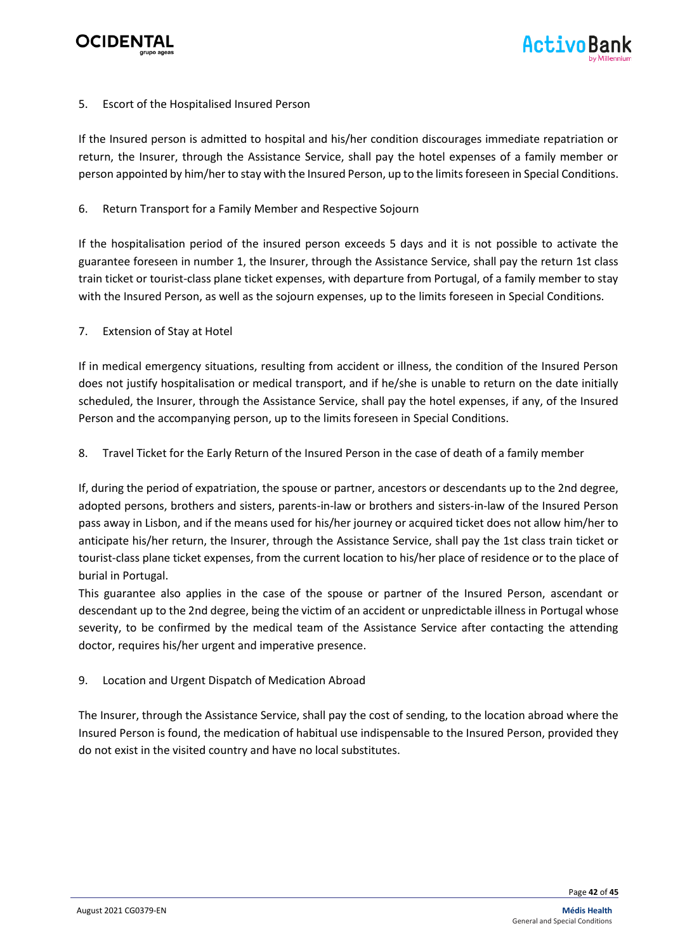

#### 5. Escort of the Hospitalised Insured Person

If the Insured person is admitted to hospital and his/her condition discourages immediate repatriation or return, the Insurer, through the Assistance Service, shall pay the hotel expenses of a family member or person appointed by him/her to stay with the Insured Person, up to the limits foreseen in Special Conditions.

#### 6. Return Transport for a Family Member and Respective Sojourn

If the hospitalisation period of the insured person exceeds 5 days and it is not possible to activate the guarantee foreseen in number 1, the Insurer, through the Assistance Service, shall pay the return 1st class train ticket or tourist-class plane ticket expenses, with departure from Portugal, of a family member to stay with the Insured Person, as well as the sojourn expenses, up to the limits foreseen in Special Conditions.

#### 7. Extension of Stay at Hotel

If in medical emergency situations, resulting from accident or illness, the condition of the Insured Person does not justify hospitalisation or medical transport, and if he/she is unable to return on the date initially scheduled, the Insurer, through the Assistance Service, shall pay the hotel expenses, if any, of the Insured Person and the accompanying person, up to the limits foreseen in Special Conditions.

8. Travel Ticket for the Early Return of the Insured Person in the case of death of a family member

If, during the period of expatriation, the spouse or partner, ancestors or descendants up to the 2nd degree, adopted persons, brothers and sisters, parents-in-law or brothers and sisters-in-law of the Insured Person pass away in Lisbon, and if the means used for his/her journey or acquired ticket does not allow him/her to anticipate his/her return, the Insurer, through the Assistance Service, shall pay the 1st class train ticket or tourist-class plane ticket expenses, from the current location to his/her place of residence or to the place of burial in Portugal.

This guarantee also applies in the case of the spouse or partner of the Insured Person, ascendant or descendant up to the 2nd degree, being the victim of an accident or unpredictable illness in Portugal whose severity, to be confirmed by the medical team of the Assistance Service after contacting the attending doctor, requires his/her urgent and imperative presence.

#### 9. Location and Urgent Dispatch of Medication Abroad

The Insurer, through the Assistance Service, shall pay the cost of sending, to the location abroad where the Insured Person is found, the medication of habitual use indispensable to the Insured Person, provided they do not exist in the visited country and have no local substitutes.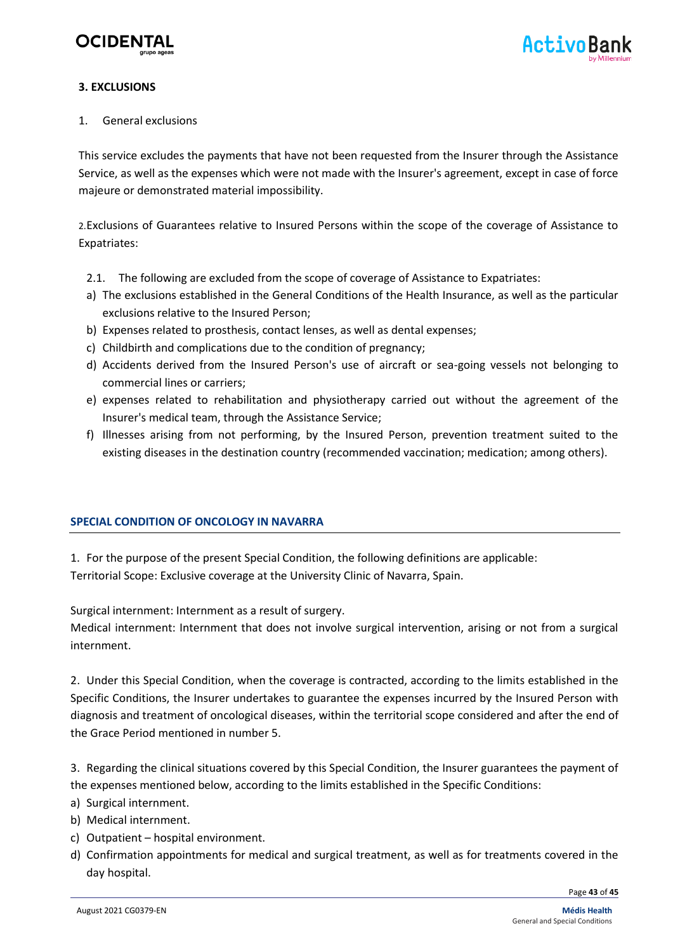

#### **3. EXCLUSIONS**

1. General exclusions

This service excludes the payments that have not been requested from the Insurer through the Assistance Service, as well as the expenses which were not made with the Insurer's agreement, except in case of force majeure or demonstrated material impossibility.

2.Exclusions of Guarantees relative to Insured Persons within the scope of the coverage of Assistance to Expatriates:

- 2.1. The following are excluded from the scope of coverage of Assistance to Expatriates:
- a) The exclusions established in the General Conditions of the Health Insurance, as well as the particular exclusions relative to the Insured Person;
- b) Expenses related to prosthesis, contact lenses, as well as dental expenses;
- c) Childbirth and complications due to the condition of pregnancy;
- d) Accidents derived from the Insured Person's use of aircraft or sea-going vessels not belonging to commercial lines or carriers;
- e) expenses related to rehabilitation and physiotherapy carried out without the agreement of the Insurer's medical team, through the Assistance Service;
- f) Illnesses arising from not performing, by the Insured Person, prevention treatment suited to the existing diseases in the destination country (recommended vaccination; medication; among others).

#### **SPECIAL CONDITION OF ONCOLOGY IN NAVARRA**

1. For the purpose of the present Special Condition, the following definitions are applicable: Territorial Scope: Exclusive coverage at the University Clinic of Navarra, Spain.

Surgical internment: Internment as a result of surgery.

Medical internment: Internment that does not involve surgical intervention, arising or not from a surgical internment.

2. Under this Special Condition, when the coverage is contracted, according to the limits established in the Specific Conditions, the Insurer undertakes to guarantee the expenses incurred by the Insured Person with diagnosis and treatment of oncological diseases, within the territorial scope considered and after the end of the Grace Period mentioned in number 5.

3. Regarding the clinical situations covered by this Special Condition, the Insurer guarantees the payment of the expenses mentioned below, according to the limits established in the Specific Conditions:

- a) Surgical internment.
- b) Medical internment.
- c) Outpatient hospital environment.
- d) Confirmation appointments for medical and surgical treatment, as well as for treatments covered in the day hospital.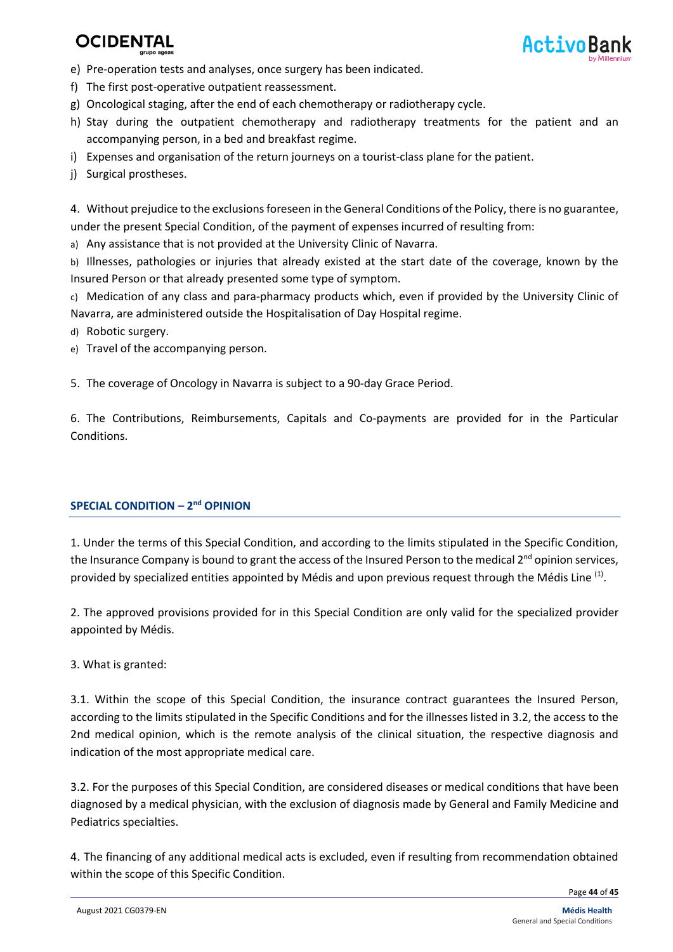- e) Pre-operation tests and analyses, once surgery has been indicated.
- f) The first post-operative outpatient reassessment.
- g) Oncological staging, after the end of each chemotherapy or radiotherapy cycle.
- h) Stay during the outpatient chemotherapy and radiotherapy treatments for the patient and an accompanying person, in a bed and breakfast regime.
- i) Expenses and organisation of the return journeys on a tourist-class plane for the patient.
- j) Surgical prostheses.

4. Without prejudice to the exclusions foreseen in the General Conditions of the Policy, there is no guarantee, under the present Special Condition, of the payment of expenses incurred of resulting from:

a) Any assistance that is not provided at the University Clinic of Navarra.

b) Illnesses, pathologies or injuries that already existed at the start date of the coverage, known by the Insured Person or that already presented some type of symptom.

- c) Medication of any class and para-pharmacy products which, even if provided by the University Clinic of Navarra, are administered outside the Hospitalisation of Day Hospital regime.
- d) Robotic surgery.
- e) Travel of the accompanying person.

5. The coverage of Oncology in Navarra is subject to a 90-day Grace Period.

6. The Contributions, Reimbursements, Capitals and Co-payments are provided for in the Particular Conditions.

#### **SPECIAL CONDITION – 2<sup>nd</sup> OPINION**

1. Under the terms of this Special Condition, and according to the limits stipulated in the Specific Condition, the Insurance Company is bound to grant the access of the Insured Person to the medical  $2^{nd}$  opinion services, provided by specialized entities appointed by Médis and upon previous request through the Médis Line <sup>(1)</sup>.

2. The approved provisions provided for in this Special Condition are only valid for the specialized provider appointed by Médis.

3. What is granted:

3.1. Within the scope of this Special Condition, the insurance contract guarantees the Insured Person, according to the limits stipulated in the Specific Conditions and for the illnesses listed in 3.2, the access to the 2nd medical opinion, which is the remote analysis of the clinical situation, the respective diagnosis and indication of the most appropriate medical care.

3.2. For the purposes of this Special Condition, are considered diseases or medical conditions that have been diagnosed by a medical physician, with the exclusion of diagnosis made by General and Family Medicine and Pediatrics specialties.

4. The financing of any additional medical acts is excluded, even if resulting from recommendation obtained within the scope of this Specific Condition.

Page **44** of **45**